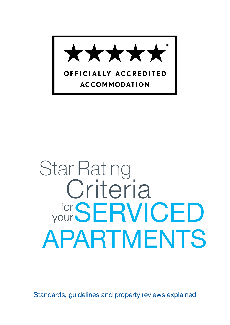

# Star Rating for your SERVICED Criteria APARTMENTS

Standards, guidelines and property reviews explained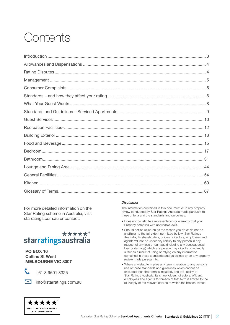## Contents

For more detailed information on the Star Rating scheme in Australia, visit starratings.com.au or contact:

#### \*\*\*\*\*<sup>®</sup> starratingsaustralia

PO BOX 16 Collins St West MELBOURNE VIC 8007



+61 3 9601 3325



minfo@starratings.com.au

#### *Disclaimer*

The information contained in this document or in any property review conducted by Star Ratings Australia made pursuant to these criteria and the standards and guidelines:

- Does not constitute a representation or warranty that your Property complies with applicable laws.
- Should not be relied on as the reason you do or do not do anything, to the full extent permitted by law, Star Ratings Australia, its shareholders, officers, directors, employees and agents will not be under any liability to any person in any respect of any loss or damage (including any consequential loss or damage) which any person may directly or indirectly suffer as a result of using or relying on any information contained in these standards and guidelines or on any property review made pursuant to.
- Where any statute implies any term in relation to any person's use of these standards and guidelines which cannot be excluded then that term is included, and the liability of Star Ratings Australia, its shareholders, directors, officers, employees and agents for breach of that term is limited to the re–supply of the relevant service to which the breach relates.

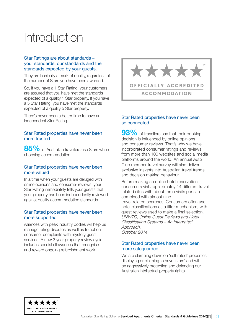## <span id="page-2-0"></span>Introduction

#### Star Ratings are about standards – your standards, our standards and the standards expected by your guests.

They are basically a mark of quality, regardless of the number of Stars you have been awarded.

So, if you have a 1 Star Rating, your customers are assured that you have met the standards expected of a quality 1 Star property. If you have a 5 Star Rating, you have met the standards expected of a quality 5 Star property.

There's never been a better time to have an independent Star Rating.

#### Star Rated properties have never been more trusted

85% of Australian travellers use Stars when choosing accommodation.

#### Star Rated properties have never been more valued

In a time when your guests are deluged with online opinions and consumer reviews, your Star Rating immediately tells your guests that your property has been independently reviewed against quality accommodation standards.

#### Star Rated properties have never been more supported

Alliances with peak industry bodies will help us manage rating disputes as well as to act on consumer complaints with mystery guest services. A new 3 year property review cycle includes special allowances that recognise and reward ongoing refurbishment work.



#### Star Rated properties have never been so connected

93% of travellers say that their booking decision is influenced by online opinions and consumer reviews. That's why we have incorporated consumer ratings and reviews from more than 100 websites and social media platforms around the world. An annual Auto Club member travel survey will also deliver exclusive insights into Australian travel trends and decision making behaviour.

Before making an online hotel reservation, consumers vist approximatey 14 different travelrelated sites with about three visits per site combined with almost nine travel-related searches. Consumers often use hotel classifications as a filter mechanism, with guest reviews used to make a final selection. UNWTO, Online Guest Reviews and Hotel Classification Systems – An Integrated Approach, October 2014

#### Star Rated properties have never been more safeguarded

We are clamping down on 'self-rated' properties displaying or claiming to have 'stars' and will be aggressively protecting and defending our Australian intellectual property rights.

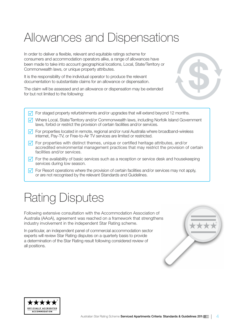## <span id="page-3-0"></span>Allowances and Dispensations

In order to deliver a flexible, relevant and equitable ratings scheme for consumers and accommodation operators alike, a range of allowances have been made to take into account geographical locations, Local, State/Territory or Commonwealth laws, or unique property attributes.

It is the responsibility of the individual operator to produce the relevant documentation to substantiate claims for an allowance or dispensation.

The claim will be assessed and an allowance or dispensation may be extended for but not limited to the following:



- $\sqrt{ }$  For staged property refurbishments and/or upgrades that will extend beyond 12 months.
- $\sqrt{\phantom{a}}$  Where Local, State/Territory and/or Commonwealth laws, including Norfolk Island Government laws, forbid or restrict the provision of certain facilities and/or services.
- $\sqrt{\phantom{a}}$  For properties located in remote, regional and/or rural Australia where broadband-wireless internet, Pay-TV, or Free-to-Air TV services are limited or restricted.
- $\sqrt{ }$  For properties with distinct themes, unique or certified heritage attributes, and/or accredited environmental management practices that may restrict the provision of certain facilities and/or services.
- $\sqrt{\phantom{a}}$  For the availability of basic services such as a reception or service desk and housekeeping services during low season.
- $\sqrt{\phantom{a}}$  For Resort operations where the provision of certain facilities and/or services may not apply, or are not recognised by the relevant Standards and Guidelines.

## Rating Disputes

Following extensive consultation with the Accommodation Association of Australia (AAoA), agreement was reached on a framework that strengthens industry involvement in the independent Star Rating scheme.

In particular, an independent panel of commercial accommodation sector experts will review Star Rating disputes on a quarterly basis to provide a determination of the Star Rating result following considered review of all positions.



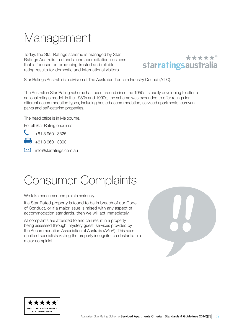## <span id="page-4-0"></span>Management

Today, the Star Ratings scheme is managed by Star Ratings Australia, a stand-alone accreditation business that is focused on producing trusted and reliable rating results for domestic and international visitors.



Star Ratings Australia is a division of The Australian Tourism Industry Council (ATIC).

The Australian Star Rating scheme has been around since the 1950s, steadily developing to offer a national ratings model. In the 1980s and 1990s, the scheme was expanded to offer ratings for different accommodation types, including hosted accommodation, serviced apartments, caravan parks and self-catering properties.

The head office is in Melbourne.

For all Star Rating enquiries:



+61 3 9601 3300

mfo@starratings.com.au

## Consumer Complaints

We take consumer complaints seriously.

If a Star Rated property is found to be in breach of our Code of Conduct, or if a major issue is raised with any aspect of accommodation standards, then we will act immediately.

All complaints are attended to and can result in a property being assessed through 'mystery guest' services provided by the Accommodation Association of Australia (AAoA). This sees qualified specialists visiting the property incognito to substantiate a major complaint.



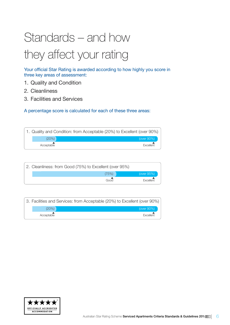## <span id="page-5-0"></span>Standards – and how they affect your rating

Your official Star Rating is awarded according to how highly you score in three key areas of assessment:

- 1. Quality and Condition
- 2. Cleanliness
- 3. Facilities and Services

A percentage score is calculated for each of these three areas:

|            | 1. Quality and Condition: from Acceptable (20%) to Excellent (over 90%) |
|------------|-------------------------------------------------------------------------|
| (20%)      | (over 90%)                                                              |
| Acceptable | Excellent                                                               |

| 2. Cleanliness: from Good (75%) to Excellent (over 95%) |       |            |
|---------------------------------------------------------|-------|------------|
|                                                         | (75%) | (over 95%) |
|                                                         | Good  | Excellent  |

|  |            | 3. Facilities and Services: from Acceptable (20%) to Excellent (over 90%) |  |
|--|------------|---------------------------------------------------------------------------|--|
|  | $(20\%)$   | (over $90\%$ )                                                            |  |
|  | Acceptable | Excellent                                                                 |  |

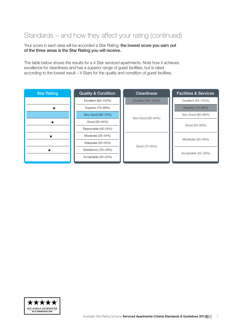### Standards – and how they affect your rating (continued)

Your score in each area will be accorded a Star Rating: the lowest score you earn out of the three areas is the Star Rating you will receive.

The table below shows the results for a 4 Star serviced apartments. Note how it achieves excellence for cleanliness and has a superior range of guest facilities, but is rated according to the lowest result – 4 Stars for the quality and condition of guest facilities.

| <b>Star Rating</b> | <b>Quality &amp; Condition</b> | <b>Cleanliness</b>  | <b>Facilities &amp; Services</b> |
|--------------------|--------------------------------|---------------------|----------------------------------|
|                    | Excellent (90-100%)            | Excellent (95-100%) | Excellent (85-100%)              |
|                    | Superior (75-89%)              |                     | Superior (70-84%)                |
|                    | Very Good (65-74%)             |                     | Very Good (60-69%)               |
| ★                  | Good (55-64%)                  | Very Good (85-94%)  | Good (50-59%)                    |
|                    | Reasonable (45-54%)            |                     |                                  |
| $\bm{\pi}$         | Moderate (35-44%)              |                     |                                  |
|                    | Adequate (30-34%)              |                     | Moderate (30-49%)                |
| ★                  | Satisfactory (25-29%)          | Good (75-84%)       | Acceptable (20-29%)              |
|                    | Acceptable (20-24%)            |                     |                                  |
|                    |                                |                     |                                  |

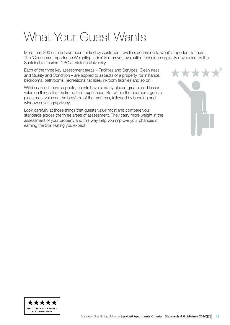## <span id="page-7-0"></span>What Your Guest Wants

More than 200 criteria have been ranked by Australian travellers according to what's important to them. The 'Consumer Importance Weighting Index' is a proven evaluation technique originally developed by the Sustainable Tourism CRC at Victoria University.

Each of the three key assessment areas – Facilities and Services, Cleanliness, and Quality and Condition – are applied to aspects of a property, for instance, bedrooms, bathrooms, recreational facilities, in-room facilities and so on.

Within each of these aspects, guests have similarly placed greater and lesser value on things that make up their experience. So, within the bedroom, guests place most value on the bed/size of the mattress, followed by bedding and window coverings/privacy.

Look carefully at those things that guests value most and compare your standards across the three areas of assessment. They carry more weight in the assessment of your property and this way help you improve your chances of earning the Star Rating you expect.



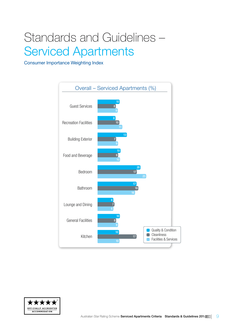## <span id="page-8-0"></span>Standards and Guidelines – Serviced Apartments

Consumer Importance Weighting Index



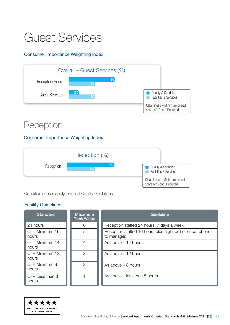## <span id="page-9-0"></span>Guest Services

#### Consumer Importance Weighting Index



### Reception

#### Consumer Importance Weighting Index



Condition scores apply in lieu of Quality Guidelines.

| <b>Standard</b>             | <b>Maximum</b><br>Rank/Value | Guideline                                                                 |
|-----------------------------|------------------------------|---------------------------------------------------------------------------|
| 24 hours                    | 6                            | Reception staffed 24 hours, 7 days a week.                                |
| $Or - Minimum 16$<br>hours  | 5                            | Reception staffed 16 hours plus night bell or direct phone<br>to manager. |
| Or - Minimum 14<br>hours    | 4                            | As above - 14 hours.                                                      |
| Or - Minimum 12<br>hours    | 3                            | As above $-12$ hours.                                                     |
| Or - Minimum 8<br>hours     | $\overline{2}$               | As above $-8$ hours.                                                      |
| $Or - Less than 8$<br>hours |                              | As above – less than 8 hours.                                             |

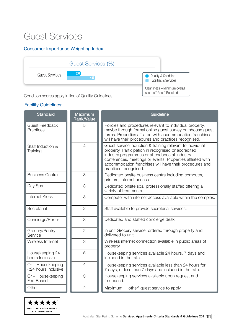### Guest Services

#### Consumer Importance Weighting Index



Condition scores apply in lieu of Quality Guidelines.

| <b>Standard</b>                          | <b>Maximum</b><br><b>Rank/Value</b> | Guideline                                                                                                                                                                                                                                                                                                           |
|------------------------------------------|-------------------------------------|---------------------------------------------------------------------------------------------------------------------------------------------------------------------------------------------------------------------------------------------------------------------------------------------------------------------|
| <b>Guest Feedback</b><br>Practices       | 5                                   | Policies and procedures relevant to individual property,<br>maybe through formal online guest survey or inhouse guest<br>forms. Properties affliated with accommodation franchises<br>will have their procedures and practices recognised.                                                                          |
| Staff Induction &<br>Training            | $\overline{4}$                      | Guest service induction & training relevant to individual<br>property. Participation in recognised or accredited<br>industry programmes or attendance at industry<br>conferences, meetings or events. Properties affliated with<br>accommodation franchises will have their procedures and<br>practices recognised. |
| <b>Business Centre</b>                   | 3                                   | Dedicated onsite business centre including computer,<br>printers, internet access                                                                                                                                                                                                                                   |
| Day Spa                                  | 3                                   | Dedicated onsite spa, professionally staffed offering a<br>variety of treatments.                                                                                                                                                                                                                                   |
| Internet Kiosk                           | 3                                   | Computer with internet access available within the complex.                                                                                                                                                                                                                                                         |
| Secretarial                              | $\overline{2}$                      | Staff available to provide secretarial services.                                                                                                                                                                                                                                                                    |
| Concierge/Porter                         | 3                                   | Dedicated and staffed concierge desk.                                                                                                                                                                                                                                                                               |
| Grocery/Pantry<br>Service                | $\overline{2}$                      | In unit Grocery service, ordered through property and<br>delivered to unit                                                                                                                                                                                                                                          |
| Wireless Internet                        | 3                                   | Wireless internet connection available in public areas of<br>property.                                                                                                                                                                                                                                              |
| Housekeeping 24<br>hours Inclusive       | 5                                   | Housekeeping services available 24 hours, 7 days and<br>included in the rate.                                                                                                                                                                                                                                       |
| Or - Housekeeping<br><24 hours Inclusive | $\overline{4}$                      | Housekeeping services available less than 24 hours for<br>7 days, or less than 7 days and included in the rate.                                                                                                                                                                                                     |
| Or - Housekeeping<br>Fee-Based           | 3                                   | Housekeeping services available upon request and<br>fee-based.                                                                                                                                                                                                                                                      |
| Other                                    | $\overline{2}$                      | Maximum 1 'other' guest service to apply.                                                                                                                                                                                                                                                                           |

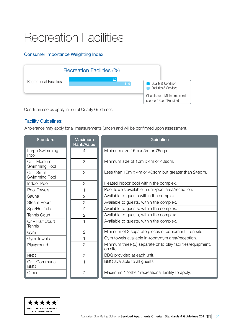## <span id="page-11-0"></span>Recreation Facilities

#### Consumer Importance Weighting Index



Condition scores apply in lieu of Quality Guidelines.

#### Facility Guidelines:

A tolerance may apply for all measurements (under) and will be confirmed upon assessment.

| <b>Standard</b>               | <b>Maximum</b><br><b>Rank/Value</b> | <b>Guideline</b>                                                        |
|-------------------------------|-------------------------------------|-------------------------------------------------------------------------|
| Large Swimming<br>Pool        | $\overline{4}$                      | Minimum size 15m x 5m or 75sqm.                                         |
| Or - Medium<br>Swimming Pool  | 3                                   | Minimum size of 10m x 4m or 40sqm.                                      |
| $Or$ – Small<br>Swimming Pool | $\overline{2}$                      | Less than 10m x 4m or 40sqm but greater than 24sqm.                     |
| Indoor Pool                   | $\overline{2}$                      | Heated indoor pool within the complex.                                  |
| Pool Towels                   |                                     | Pool towels available in unit/pool area/reception.                      |
| Sauna                         | $\overline{2}$                      | Available to guests within the complex.                                 |
| Steam Room                    | $\overline{2}$                      | Available to guests, within the complex.                                |
| Spa/Hot Tub                   | $\overline{2}$                      | Available to guests, within the complex.                                |
| <b>Tennis Court</b>           | $\overline{2}$                      | Available to guests, within the complex.                                |
| Or - Half Court<br>Tennis     |                                     | Available to guests, within the complex.                                |
| Gym                           | $\overline{2}$                      | Minimum of 3 separate pieces of equipment – on site.                    |
| <b>Gym Towels</b>             |                                     | Gym towels available in-room/gym area/reception.                        |
| Playground                    | $\overline{2}$                      | Minimum three (3) separate child play facilities/equipment,<br>on site. |
| <b>BBQ</b>                    | $\overline{2}$                      | BBQ provided at each unit.                                              |
| Or – Communal<br><b>BBQ</b>   |                                     | BBQ available to all guests.                                            |
| Other                         | $\overline{2}$                      | Maximum 1 'other' recreational facility to apply.                       |

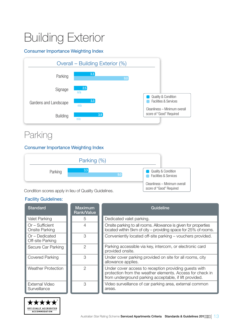## <span id="page-12-0"></span>Building Exterior

#### Consumer Importance Weighting Index



### Parking

#### Consumer Importance Weighting Index



| <b>Standard</b>                      | Maximum<br><b>Rank/Value</b> | Guideline                                                                                                                                                                    |
|--------------------------------------|------------------------------|------------------------------------------------------------------------------------------------------------------------------------------------------------------------------|
| <b>Valet Parking</b>                 | 5                            | Dedicated valet parking.                                                                                                                                                     |
| Or - Sufficient<br>Onsite Parking    | 4                            | Onsite parking to all rooms. Allowance is given for properties<br>located within 5km of city - providing space for 25% of rooms.                                             |
| $Or$ – Dedicated<br>Off-site Parking | 3                            | Conveniently located off-site parking - vouchers provided.                                                                                                                   |
| Secure Car Parking                   | 2                            | Parking accessible via key, intercom, or electronic card<br>provided onsite.                                                                                                 |
| <b>Covered Parking</b>               | З                            | Under cover parking provided on site for all rooms, city<br>allowance applies.                                                                                               |
| <b>Weather Protection</b>            | 2                            | Under cover access to reception providing guests with<br>protection from the weather elements. Access for check in<br>from underground parking acceptable, if lift provided. |
| External Video<br>Surveillance       | 3                            | Video surveillance of car parking area, external common<br>areas.                                                                                                            |

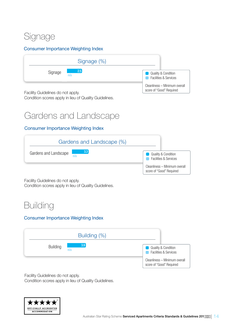### Signage

#### Consumer Importance Weighting Index



Facility Guidelines do not apply.

Condition scores apply in lieu of Quality Guidelines.

### Gardens and Landscape

#### Consumer Importance Weighting Index



Facility Guidelines do not apply. Condition scores apply in lieu of Quality Guidelines.

### **Building**

#### Consumer Importance Weighting Index



Facility Guidelines do not apply. Condition scores apply in lieu of Quality Guidelines.

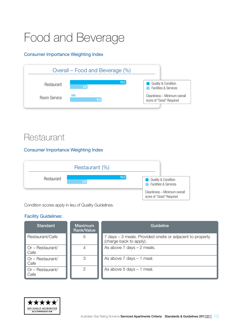## <span id="page-14-0"></span>Food and Beverage

#### Consumer Importance Weighting Index



### **Restaurant**

#### Consumer Importance Weighting Index

|            | Restaurant (%) |      |                                                                    |
|------------|----------------|------|--------------------------------------------------------------------|
| Restaurant | 3.6            | 10.0 | <b>Quality &amp; Condition</b><br><b>Facilities &amp; Services</b> |
|            |                |      | Cleanliness - Minimum overall<br>score of "Good" Required          |

Condition scores apply in lieu of Quality Guidelines.

| <b>Standard</b>                   | <b>Maximum</b><br><b>Rank/Value</b> | Guideline                                                                            |
|-----------------------------------|-------------------------------------|--------------------------------------------------------------------------------------|
| Restaurant/Cafe                   | 5                                   | 7 days – 3 meals. Provided onsite or adjacent to property<br>(charge back to apply). |
| Or - Restaurant/<br>l Cafe        |                                     | As above $7$ days $-2$ meals.                                                        |
| $\Box$ Or – Restaurant/<br>  Cafe | З                                   | As above $7$ days $-1$ meal.                                                         |
| $\Box$ Or – Restaurant/<br>Cafe   | 2                                   | As above $5$ days $-1$ meal.                                                         |

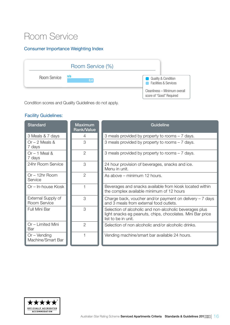### Room Service

#### Consumer Importance Weighting Index



Condition scores and Quality Guidelines do not apply.

| <b>Standard</b>                     | <b>Maximum</b><br><b>Rank/Value</b> | <b>Guideline</b>                                                                                                                             |
|-------------------------------------|-------------------------------------|----------------------------------------------------------------------------------------------------------------------------------------------|
| 3 Meals & 7 days                    | 4                                   | 3 meals provided by property to rooms - 7 days.                                                                                              |
| $Or - 2$ Meals &<br>7 days          | 3                                   | 3 meals provided by property to rooms - 7 days.                                                                                              |
| $Or - 1$ Meal &<br>7 days           | $\overline{2}$                      | 3 meals provided by property to rooms – 7 days.                                                                                              |
| 24hr Room Service                   | 3                                   | 24 hour provision of beverages, snacks and ice.<br>Menu in unit.                                                                             |
| $Or - 12hr$ Room<br>Service         | $\overline{2}$                      | As above – minimum 12 hours.                                                                                                                 |
| Or - In-house Kiosk                 |                                     | Beverages and snacks available from kiosk located within<br>the complex available minimum of 12 hours                                        |
| External Supply of<br>Room Service  | 3                                   | Charge back, voucher and/or payment on delivery $-7$ days<br>and 3 meals from external food outlets.                                         |
| Full Mini Bar                       | 3                                   | Selection of alcoholic and non-alcoholic beverages plus<br>light snacks eg peanuts, chips, chocolates. Mini Bar price<br>list to be in unit. |
| Or - Limited Mini<br>Bar            | $\overline{2}$                      | Selection of non alcoholic and/or alcoholic drinks.                                                                                          |
| $Or - Vending$<br>Machine/Smart Bar |                                     | Vending machine/smart bar available 24 hours.                                                                                                |

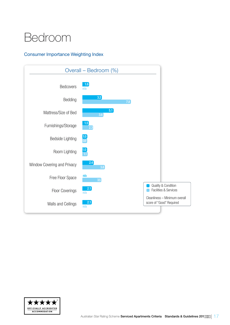## <span id="page-16-0"></span>Bedroom

#### Consumer Importance Weighting Index



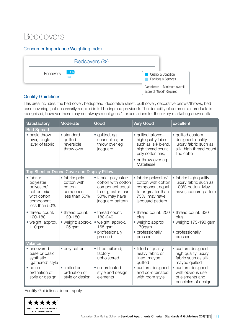### **Bedcovers**

#### Consumer Importance Weighting Index

|                  | Bedcovers (%)     |                                                                                              |
|------------------|-------------------|----------------------------------------------------------------------------------------------|
| <b>Bedcovers</b> | $\frac{1.6}{n/a}$ | <b>Quality &amp; Condition</b><br><b>Facilities &amp; Services</b><br><b>Service Service</b> |
|                  |                   | Cleanliness - Minimum overall<br>score of "Good" Required                                    |

#### Quality Guidelines:

This area includes: the bed cover: bedspread; decorative sheet; quilt cover; decorative pillows/throws; bed base covering (not necessarily required in full bedspread provided). The durability of commercial products is recognised, however these may not always meet guest's expectations for the luxury market eg down quilts.

| <b>Satisfactory</b>                                                                              | <b>Moderate</b>                                                       | Good                                                                                                                     | <b>Very Good</b>                                                                                                                 | <b>Excellent</b>                                                                                        |
|--------------------------------------------------------------------------------------------------|-----------------------------------------------------------------------|--------------------------------------------------------------------------------------------------------------------------|----------------------------------------------------------------------------------------------------------------------------------|---------------------------------------------------------------------------------------------------------|
| <b>Bed Spread</b>                                                                                |                                                                       |                                                                                                                          |                                                                                                                                  |                                                                                                         |
| • basic throw<br>over, single<br>layer of fabric                                                 | • standard<br>quilted<br>reversible<br>throw over                     | • quilted, eg<br>channelled; or<br>throw over eg<br>jacquard                                                             | • quilted tailored-<br>high quality fabric<br>such as silk blend,<br>high thread count<br>poly cotton mix;<br>• or throw over eg | • quilted custom<br>designed, quality<br>luxury fabric such as<br>silk, high thread count<br>fine cotto |
|                                                                                                  |                                                                       |                                                                                                                          | Matelassé                                                                                                                        |                                                                                                         |
|                                                                                                  | Top Sheet or Doona Cover and Display Pillow                           |                                                                                                                          |                                                                                                                                  |                                                                                                         |
| • fabric:<br>polyester;<br>polyester/<br>cotton mix<br>with cotton<br>component<br>less than 50% | • fabric: poly<br>cotton with<br>cotton<br>component<br>less than 50% | • fabric: polyester/<br>cotton with cotton<br>component equal<br>to or greater than<br>50%, may have<br>jacquard pattern | • fabric: polyester/<br>cotton with cotton<br>component equal<br>to or greater than<br>75%; may have<br>jacquard pattern         | • fabric: high quality<br>luxury fabric such as<br>100% cotton. May<br>have jacquard pattern            |
| • thread count:<br>120-180<br>• weight: approx.<br>110gsm                                        | • thread count:<br>120-180<br>• weight: approx.<br>$125$ gsm          | • thread count:<br>180-240<br>• weight: approx.<br>165 gsm<br>• professionally<br>pressed                                | • thread count: 250<br>plus<br>• weight: approx<br>170gsm<br>• professionally<br>pressed                                         | • thread count: 330<br>plus<br>• weight: 175-190 gsm<br>• professionally<br>pressed                     |
| Valance                                                                                          |                                                                       |                                                                                                                          |                                                                                                                                  |                                                                                                         |
| • uncovered<br>base or basic<br>synthetic<br>'gathered' style                                    | • poly cotton                                                         | · fitted tailored;<br>factory<br>upholstered                                                                             | • fitted of quality<br>heavy fabric or<br>lined, maybe<br>quilted                                                                | • custom designed -<br>high quality luxury<br>fabric such as silk,<br>maybe quilted                     |
| $\bullet$ no co-<br>ordination of<br>style or design                                             | · limited co-<br>ordination of<br>style or design                     | • co-ordinated<br>style and design<br>elements                                                                           | • custom designed<br>and co-ordinated<br>with room style                                                                         | · custom designed<br>with obvious use<br>of elements and<br>principles of design                        |

Facility Guidelines do not apply.

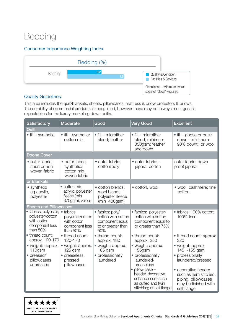### Bedding

#### Consumer Importance Weighting Index



#### Quality Guidelines:

This area includes the quilt/blankets, sheets, pillowcases, mattress & pillow protectors & pillows. The durability of commercial products is recognised, however these may not always meet guest's expectations for the luxury market eg down quilts.

| Satisfactory                                                                           | <b>Moderate</b>                                                              | Good                                                                                   | <b>Very Good</b>                                                                                                                                                                          | <b>Excellent</b>                                                                                                                                                                         |
|----------------------------------------------------------------------------------------|------------------------------------------------------------------------------|----------------------------------------------------------------------------------------|-------------------------------------------------------------------------------------------------------------------------------------------------------------------------------------------|------------------------------------------------------------------------------------------------------------------------------------------------------------------------------------------|
| Quilt                                                                                  |                                                                              |                                                                                        |                                                                                                                                                                                           |                                                                                                                                                                                          |
| $\bullet$ fill – synthetic                                                             | $\bullet$ fill – synthetic/<br>cotton mix                                    | $\bullet$ fill – microfiber<br>blend; feather                                          | $\bullet$ fill – microfiber<br>blend, minimum<br>350gsm; feather<br>and down                                                                                                              | $\bullet$ fill – goose or duck<br>$down - minimum$<br>90% down; or wool                                                                                                                  |
| <b>Doona Cover</b>                                                                     |                                                                              |                                                                                        |                                                                                                                                                                                           |                                                                                                                                                                                          |
| • outer fabric:<br>spun or non<br>woven fabric                                         | • outer fabric:<br>synthetic/<br>cotton mix<br>woven fabric                  | • outer fabric:<br>cotton/poly                                                         | $\bullet$ outer fabric: $-$<br>japara cotton                                                                                                                                              | outer fabric: down<br>proof japara                                                                                                                                                       |
| or Blankets                                                                            |                                                                              |                                                                                        |                                                                                                                                                                                           |                                                                                                                                                                                          |
| • synthetic<br>eg acrylic,<br>polyester                                                | $\bullet$ cotton mix<br>acrylic, polyester<br>fleece (min<br>370gsm), velour | · cotton blends,<br>wool blends,<br>polyester fleece<br>$(min 400$ gsm $)$             | · cotton, wool                                                                                                                                                                            | • wool; cashmere; fine<br>cotton                                                                                                                                                         |
| <b>Sheets and Pillowcases</b>                                                          |                                                                              |                                                                                        |                                                                                                                                                                                           |                                                                                                                                                                                          |
| · fabrics: polyester;<br>polyester/cotton<br>with cotton<br>component less<br>than 50% | • fabrics:<br>polyester/cotton<br>with cotton<br>component less<br>than 50%  | · fabrics: poly/<br>cotton with cotton<br>component equal<br>to or greater than<br>50% | · fabrics: polyester/<br>cotton with cotton<br>component equal to<br>or greater than 75%                                                                                                  | · fabrics: 100% cotton;<br>100% linen                                                                                                                                                    |
| • thread count:<br>approx. 120-170                                                     | • thread count:<br>120-170                                                   | • thread count:<br>approx. 180                                                         | • thread count:<br>approx. 250                                                                                                                                                            | • thread count: approx.<br>320                                                                                                                                                           |
| • weight: approx.<br>110gsm<br>• creased/<br>pillowcases<br>unpressed                  | • weight: approx.<br>$125$ gsm<br>· creaseless,<br>pressed<br>pillowcases    | • weight: approx.<br>165 gsm<br>• professionally<br>laundered                          | • weight: approx.<br>155gsm<br>• professionally<br>laundered/<br>creaseless<br>pillow case -<br>header, decorative<br>enhancement such<br>as cuffed and twin<br>stitching; or self flange | • weight: approx<br>145 - 155 gsm<br>• professionally<br>laundered/pressed<br>· decorative header<br>such as hem stitched,<br>piping, pillowcases<br>may be finished with<br>self flange |

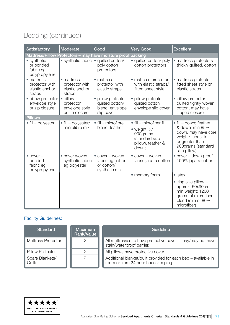### Bedding (continued)

| <b>Satisfactory</b>                                         | <b>Moderate</b>                                            | Good                                                                   | <b>Very Good</b>                                                                                                    | <b>Excellent</b>                                                                                                                              |
|-------------------------------------------------------------|------------------------------------------------------------|------------------------------------------------------------------------|---------------------------------------------------------------------------------------------------------------------|-----------------------------------------------------------------------------------------------------------------------------------------------|
|                                                             |                                                            | Mattress/Pillow Protectors - may have moisture proof backing           |                                                                                                                     |                                                                                                                                               |
| • synthetic<br>or bonded<br>fabric eg<br>polypropylene      | • synthetic fabric                                         | · quilted cotton/<br>poly cotton<br>protectors                         | · quilted cotton/ poly<br>cotton protectors                                                                         | • mattress protectors<br>thickly quilted, cotton                                                                                              |
| • mattress<br>protector with<br>elastic anchor<br>straps    | • mattress<br>protector with<br>elastic anchor<br>straps   | • mattress<br>protector with<br>elastic straps                         | • mattress protector<br>with elastic straps/<br>fitted sheet style                                                  | • mattress protector<br>fitted sheet style or<br>elastic straps                                                                               |
| · pillow protector<br>envelope style<br>or zip closure      | • pillow<br>protector,<br>envelope style<br>or zip closure | · pillow protector<br>quilted cotton/<br>blend, envelope<br>slip cover | · pillow protector<br>quilted cotton<br>envelope slip cover                                                         | · pillow protector<br>quilted tightly woven<br>cotton, may have<br>zipped closure                                                             |
| <b>Pillows</b>                                              |                                                            |                                                                        |                                                                                                                     |                                                                                                                                               |
| $\bullet$ fill – polyester                                  | • fill - polyester/<br>microfibre mix                      | $\bullet$ fill – microfibre<br>blend, feather                          | $\bullet$ fill – microfiber fill<br>• weight: $\gt$ /=<br>900grams<br>(standard size<br>pillow), feather &<br>down; | • fill - down; feather<br>& down-min 85%<br>down, may have core<br>weight: equal to<br>or greater than<br>900grams (standard<br>size pillow); |
| $\bullet$ cover $-$<br>bonded<br>fabric eg<br>polypropylene | • cover woven<br>synthetic fabric<br>eg polyester          | • cover - woven<br>fabric eg cotton<br>or cotton/<br>synthetic mix     | • cover - woven<br>fabric japara cotton                                                                             | • cover – down proof<br>100% japara cotton                                                                                                    |
|                                                             |                                                            |                                                                        | • memory foam                                                                                                       | $\bullet$ latex                                                                                                                               |
|                                                             |                                                            |                                                                        |                                                                                                                     | $\bullet$ king size pillow -<br>approx. 50x90cm,<br>min weight: 1200<br>grams of microfiber<br>blend (min of 80%<br>microfiber)               |

| <b>Standard</b>           | <b>Maximum</b><br>Rank/Value | Guideline                                                                                           |
|---------------------------|------------------------------|-----------------------------------------------------------------------------------------------------|
| <b>Mattress Protector</b> | 3                            | All mattresses to have protective cover - may/may not have<br>stain/waterproof barrier.             |
| <b>Pillow Protector</b>   |                              | All pillows have protective cover.                                                                  |
| Spare Blankets/<br>Quilts |                              | Additional blanket/quilt provided for each bed - available in<br>room or from 24 hour housekeeping. |

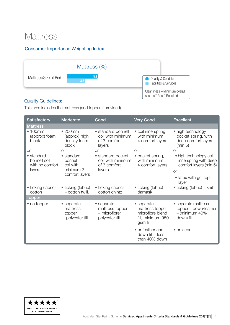### **Mattress**

#### Consumer Importance Weighting Index



#### Quality Guidelines:

This area includes the mattress (and topper if provided).

| <b>Satisfactory</b>                                     | Moderate                                                                  | Good                                                              | <b>Very Good</b>                                                                     | <b>Excellent</b>                                                                                                        |
|---------------------------------------------------------|---------------------------------------------------------------------------|-------------------------------------------------------------------|--------------------------------------------------------------------------------------|-------------------------------------------------------------------------------------------------------------------------|
| <b>Mattress</b>                                         |                                                                           |                                                                   |                                                                                      |                                                                                                                         |
| •100mm<br>(approx) foam<br><b>block</b>                 | •200mm<br>(approx) high<br>density foam<br>block                          | • standard bonnell<br>coil with minimum<br>of 3 comfort<br>layers | • coil innerspring<br>with minimum<br>4 comfort layers                               | • high technology<br>pocket spring, with<br>deep comfort layers<br>(min 5)                                              |
| <b>or</b>                                               | <b>or</b>                                                                 | <b>or</b>                                                         | <b>or</b>                                                                            | <b>or</b>                                                                                                               |
| • standard<br>bonnell coil<br>with no comfort<br>layers | $\bullet$ standard<br>bonnell<br>coil with<br>minimum 2<br>comfort layers | • standard pocket<br>coil with minimum<br>of 3 comfort<br>layers  | • pocket spring,<br>with minimum<br>4 comfort layers                                 | • high technology coil<br>innerspring with deep<br>comfort layers (min 5)<br><b>or</b><br>• latex with gel top<br>layer |
| • ticking (fabric)<br>cotton                            | • ticking (fabric)<br>- cotton twill.                                     | $\bullet$ ticking (fabric) –<br>cotton chintz                     | $\bullet$ ticking (fabric) –<br>damask                                               | $\bullet$ ticking (fabric) – knit                                                                                       |
| Topper                                                  |                                                                           |                                                                   |                                                                                      |                                                                                                                         |
| • no topper                                             | • separate<br>mattress<br>topper<br>-polyester fill.                      | • separate<br>mattress topper<br>- microfibre/<br>polyester fill. | • separate<br>mattress topper -<br>microfibre blend<br>fill, minimum 950<br>gsm fill | • separate mattress<br>topper – down/feather<br>$-$ (minimum 40%<br>down) fill                                          |
|                                                         |                                                                           |                                                                   | • or feather and<br>down fill - less<br>than 40% down                                | • or latex                                                                                                              |

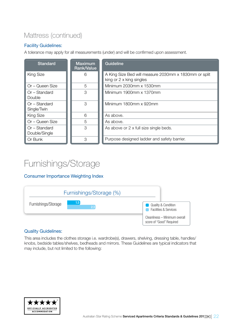### Mattress (continued)

#### Facility Guidelines:

A tolerance may apply for all measurements (under) and will be confirmed upon assessment.

| <b>Standard</b>                | <b>Maximum</b><br><b>Rank/Value</b> | Guideline                                                                         |
|--------------------------------|-------------------------------------|-----------------------------------------------------------------------------------|
| <b>King Size</b>               | 6                                   | A King Size Bed will measure 2030mm x 1830mm or split<br>king or 2 x king singles |
| Or - Queen Size                | 5                                   | Minimum 2030mm x 1530mm                                                           |
| Or - Standard<br>Double        | 3                                   | Minimum 1900mm x 1370mm                                                           |
| $Or - Standard$<br>Single/Twin | 3                                   | Minimum 1800mm x 920mm                                                            |
| <b>King Size</b>               | 6                                   | As above.                                                                         |
| Or - Queen Size                | 5                                   | As above.                                                                         |
| Or - Standard<br>Double/Single | 3                                   | As above or 2 x full size single beds.                                            |
| Or Bunk                        | 3                                   | Purpose designed ladder and safety barrier.                                       |

### Furnishings/Storage

#### Consumer Importance Weighting Index



#### Quality Guidelines:

This area includes the clothes storage i.e. wardrobe(s), drawers, shelving, dressing table, handles/ knobs, bedside tables/shelves, bedheads and mirrors. These Guidelines are typical indicators that may include, but not limited to the following:

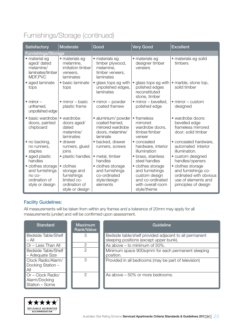### Furnishings/Storage (continued)

| Satisfactory                                                                       | <b>Moderate</b>                                                                            | Good                                                                                       | <b>Very Good</b>                                                                                              | <b>Excellent</b>                                                                                                  |
|------------------------------------------------------------------------------------|--------------------------------------------------------------------------------------------|--------------------------------------------------------------------------------------------|---------------------------------------------------------------------------------------------------------------|-------------------------------------------------------------------------------------------------------------------|
| <b>Furnishings/Storage</b>                                                         |                                                                                            |                                                                                            |                                                                                                               |                                                                                                                   |
| • material eg<br>aged/ dated<br>melamine/<br>laminates/timber<br>MDF, PVC          | • materials eg<br>melamine,<br>imitation timber<br>veneers,<br>laminates                   | · materials eg<br>timber plywood,<br>melamine,<br>timber veneers,<br>laminates             | • materials eg<br>designer timber<br>veneers                                                                  | · materials eg solid<br>timbers                                                                                   |
| • aged laminate<br>tops                                                            | · basic laminate<br>tops                                                                   | • glass tops eg with<br>unpolished edges,<br>laminates                                     | • glass tops eg with<br>polished edges<br>reconstituted<br>stone, timber                                      | • marble, stone top,<br>solid timber                                                                              |
| $\bullet$ mirror $-$<br>unframed,<br>unpolished edge                               | $\bullet$ mirror – basic<br>plastic frame                                                  | $\bullet$ mirror – powder<br>coated framew                                                 | • mirror – bevelled,<br>polished edge                                                                         | $\bullet$ mirror – custom<br>designed                                                                             |
| · basic wardrobe<br>doors, painted<br>chipboard                                    | • wardrobe<br>doors aged/<br>dated<br>melamine/<br>laminates                               | · aluminium/ powder<br>coated framed,<br>mirrored wardrobe<br>doors, melamine/<br>laminate | • frameless<br>mirrored<br>wardrobe doors,<br>timber/timber<br>veneer                                         | · wardrobe doors:<br>bevelled edge<br>frameless mirrored<br>door; solid timber                                    |
| • no backing,<br>no runners,<br>staples                                            | • drawer<br>runners, glued<br>joins                                                        | • backed, drawer<br>runners, screws                                                        | • concealed<br>hardware, interior<br>illumination                                                             | • concealed hardware,<br>automated interior<br>illumination.                                                      |
| • aged plastic<br>handles                                                          | • plastic handles                                                                          | • metal, timber<br>handles                                                                 | • brass, stainless<br>steel handles                                                                           | • custom designed<br>handles/openers                                                                              |
| • clothes storage<br>and furnishings<br>no co-<br>ordination of<br>style or design | • clothes<br>storage and<br>furnishings<br>limited co-<br>ordination of<br>style or design | • clothes storage<br>and furnishings<br>co-ordinated<br>style/design<br>elements           | • clothes storage<br>and furnishings<br>custom design<br>and co-ordinated<br>with overall room<br>style/theme | • clothes storage<br>and furnishings co-<br>ordinated with obvious<br>use of elements and<br>principles of design |

#### Facility Guidelines:

All measurements will be taken from within any frames and a tolerance of 20mm may apply for all measurements (under) and will be confirmed upon assessment.

| <b>Standard</b>                                      | <b>Maximum</b><br>Rank/Value | <b>Guideline</b>                                                                                  |
|------------------------------------------------------|------------------------------|---------------------------------------------------------------------------------------------------|
| Bedside Table/Shelf<br>$-$ All                       | З                            | Bedside table/shelf provided adjacent to all permanent<br>sleeping positions (except upper bunk). |
| Or - Less Than All                                   | 2                            | As above $-$ to minimum of 50%.                                                                   |
| Bedside Table/Shelf<br>- Adequate Size               | 2                            | Minimum space 900sqmm for each permanent sleeping<br>position.                                    |
| Clock Radio/Alarm/<br>Docking Station -<br>All       | З                            | Provided in all bedrooms (may be part of television)                                              |
| Or - Clock Radio/<br>Alarm/Docking<br>Station - Some | 2                            | As above – 50% or more bedrooms.                                                                  |

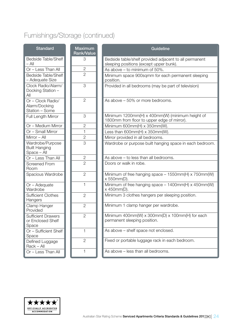### Furnishings/Storage (continued)

| <b>Standard</b>                                         | <b>Maximum</b><br><b>Rank/Value</b> | Guideline                                                                                         |
|---------------------------------------------------------|-------------------------------------|---------------------------------------------------------------------------------------------------|
| <b>Bedside Table/Shelf</b><br>$-$ All                   | 3                                   | Bedside table/shelf provided adjacent to all permanent<br>sleeping positions (except upper bunk). |
| Or - Less Than All                                      | $\overline{2}$                      | As above - to minimum of 50%.                                                                     |
| <b>Bedside Table/Shelf</b><br>- Adequate Size           | $\overline{2}$                      | Minimum space 900sqmm for each permanent sleeping<br>position.                                    |
| Clock Radio/Alarm/<br>Docking Station -<br>All          | 3                                   | Provided in all bedrooms (may be part of television)                                              |
| Or - Clock Radio/<br>Alarm/Docking<br>Station - Some    | $\overline{2}$                      | As above - 50% or more bedrooms.                                                                  |
| Full Length Mirror                                      | 3                                   | Minimum 1200mm(H) x 400mm(W) (minimum height of<br>1800mm from floor to upper edge of mirror).    |
| Or - Medium Mirror                                      | $\mathbf{2}$                        | Minimum 600mm(H) x 350mm(W).                                                                      |
| Or - Small Mirror                                       | $\mathbf{1}$                        | Less than $600mm(H) \times 350mm(W)$ .                                                            |
| Mirror $-$ All                                          | $\overline{2}$                      | Mirror provided in all bedrooms.                                                                  |
| Wardrobe/Purpose<br><b>Built Hanging</b><br>Space - All | $\overline{3}$                      | Wardrobe or purpose built hanging space in each bedroom.                                          |
| Or - Less Than All                                      | $\mathbf{2}$                        | As above - to less than all bedrooms.                                                             |
| <b>Screened From</b><br>Room                            | $\overline{2}$                      | Doors or walk in robe.                                                                            |
| Spacious Wardrobe                                       | $\overline{2}$                      | Minimum of free hanging space $-1550$ mm(H) x 750mm(W)<br>x 550mm(D).                             |
| Or - Adequate<br>Wardrobe                               | $\mathbf{1}$                        | Minimum of free hanging space $-1400$ mm(H) x 450mm(W)<br>x 450mm(D).                             |
| <b>Sufficient Clothes</b><br>Hangers                    | $\overline{2}$                      | Minimum 3 clothes hangers per sleeping position.                                                  |
| Clamp Hanger<br>Provided                                | $\overline{2}$                      | Minimum 1 clamp hanger per wardrobe.                                                              |
| <b>Sufficient Drawers</b><br>or Enclosed Shelf<br>Space | $\mathbf{2}$                        | Minimum 400mm(W) x 300mm(D) x 100mm(H) for each<br>permanent sleeping position.                   |
| Or - Sufficient Shelf<br>Space                          | 1                                   | As above - shelf space not enclosed.                                                              |
| Defined Luggage<br>Rack - All                           | $\mathbf{2}$                        | Fixed or portable luggage rack in each bedroom.                                                   |
| Or - Less Than All                                      | $\mathbf{1}$                        | As above - less than all bedrooms.                                                                |

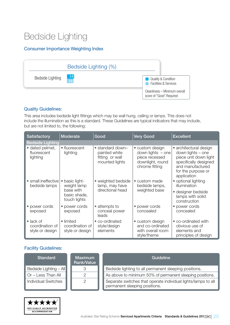### Bedside Lighting

#### Consumer Importance Weighting Index

|                  | Bedside Lighting (%) |                                                                                              |
|------------------|----------------------|----------------------------------------------------------------------------------------------|
| Bedside Lighting | $\frac{1.0}{0.9}$    | <b>Quality &amp; Condition</b><br><b>Facilities &amp; Services</b><br><b>Service Service</b> |
|                  |                      | Cleanliness - Minimum overall<br>score of "Good" Required                                    |

#### Quality Guidelines:

This area includes bedside light fittings which may be wall hung, ceiling or lamps. This does not include the illumination as this is a standard. These Guidelines are typical indicators that may include, but are not limited to, the following:

| Satisfactory                                            | <b>Moderate</b>                                 | Good                                                                   | <b>Very Good</b>                                                                               | <b>Excellent</b>                                                                                                                                       |
|---------------------------------------------------------|-------------------------------------------------|------------------------------------------------------------------------|------------------------------------------------------------------------------------------------|--------------------------------------------------------------------------------------------------------------------------------------------------------|
| <b>Bedside Lighting</b>                                 |                                                 |                                                                        |                                                                                                |                                                                                                                                                        |
| • dated pelmet,<br>fluorescent<br>lighting              | • fluorescent<br>lighting                       | • standard down-<br>painted white<br>fitting or wall<br>mounted lights | • custom design<br>down lights $-$ one<br>piece recessed<br>downlight, round<br>chrome fitting | • architectural design<br>down lights – one<br>piece unit down light<br>specifically designed<br>and manufactured<br>for the purpose or<br>application |
| • small ineffective<br>bedside lamps                    | basic light-<br>$\bullet$<br>weight lamp        | • weighted bedside<br>lamp, may have                                   | • custom made<br>bedside lamps,                                                                | • optional lighting<br>illumination                                                                                                                    |
|                                                         | base with<br>basic shade,<br>touch lights       | directional head                                                       | weighted base                                                                                  | • designer bedside<br>lamps with solid<br>construction                                                                                                 |
| • power cords<br>exposed                                | power cords<br>exposed                          | • attempts to<br>conceal power<br>leads                                | • power cords<br>concealed                                                                     | • power cords<br>concealed                                                                                                                             |
| $\bullet$ lack of<br>coordination of<br>style or design | • limited<br>coordination of<br>style or design | • co-ordinated<br>style/design<br>elements                             | • custom design<br>and co-ordinated<br>with overall room<br>style/theme                        | • co-ordinated with<br>obvious use of<br>elements and<br>principles of design                                                                          |

| Standard                          | <b>Maximum</b><br>Rank/Value | Guideline                                                                                      |
|-----------------------------------|------------------------------|------------------------------------------------------------------------------------------------|
| Bedside Lighting - All            |                              | Bedside lighting to all permanent sleeping positions.                                          |
| $\blacksquare$ Or – Less Than All |                              | As above to minimum 50% of permanent sleeping positions.                                       |
| <b>Individual Switches</b>        |                              | Separate switches that operate individual lights/lamps to all<br>permanent sleeping positions. |

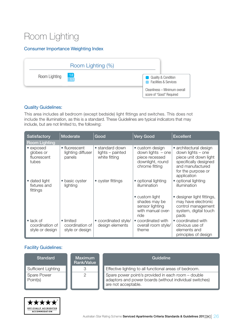### Room Lighting

#### Consumer Importance Weighting Index



#### Quality Guidelines:

This area includes all bedroom (except bedside) light fittings and switches. This does not include the illumination, as this is a standard. These Guidelines are typical indicators that may include, but are not limited to, the following:

| Satisfactory                                            | <b>Moderate</b>                                 | Good                                                 | <b>Very Good</b>                                                                               | <b>Excellent</b>                                                                                                                                       |
|---------------------------------------------------------|-------------------------------------------------|------------------------------------------------------|------------------------------------------------------------------------------------------------|--------------------------------------------------------------------------------------------------------------------------------------------------------|
| <b>Room Lighting</b>                                    |                                                 |                                                      |                                                                                                |                                                                                                                                                        |
| • exposed<br>globes or<br>fluorescent<br>tubes          | • fluorescent<br>lighting diffuser<br>panels    | • standard down<br>lights - painted<br>white fitting | • custom design<br>down lights $-$ one<br>piece recessed<br>downlight, round<br>chrome fitting | • architectural design<br>down lights – one<br>piece unit down light<br>specifically designed<br>and manufactured<br>for the purpose or<br>application |
| • dated light<br>fixtures and<br>fittings               | • basic oyster<br>lighting                      | • oyster fittings                                    | • optional lighting<br>illumination                                                            | • optional lighting<br>illumination                                                                                                                    |
|                                                         |                                                 |                                                      | • custom light<br>shades may be<br>sensor lighting<br>with manual over-<br>ride                | • designer light fittings,<br>may have electronic<br>control management<br>system, digital touch<br>pads                                               |
| $\bullet$ lack of<br>coordination of<br>style or design | • limited<br>coordination of<br>style or design | • coordinated style/<br>design elements              | • coordinated with<br>overall room style/<br>theme                                             | • coordinated with<br>obvious use of<br>elements and<br>principles of design                                                                           |

| <b>Standard</b>                | <b>Maximum</b><br><b>Rank/Value</b> | Guideline                                                                                                                            |
|--------------------------------|-------------------------------------|--------------------------------------------------------------------------------------------------------------------------------------|
| Sufficient Lighting            | R                                   | Effective lighting to all functional areas of bedroom.                                                                               |
| Spare Power<br>$\mid$ Point(s) |                                     | Spare power point/s provided in each room - double<br>adaptors and power boards (without individual switches)<br>are not acceptable. |

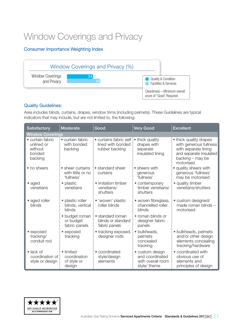### Window Coverings and Privacy

#### Consumer Importance Weighting Index



#### Quality Guidelines:

Area includes blinds, curtains, drapes, window trims (including pelmets). These Guidelines are typical indicators that may include, but are not limited to, the following:

| <b>Satisfactory</b>                                            | <b>Moderate</b>                                     | Good                                                          | <b>Very Good</b>                                                        | <b>Excellent</b>                                                                                                                    |
|----------------------------------------------------------------|-----------------------------------------------------|---------------------------------------------------------------|-------------------------------------------------------------------------|-------------------------------------------------------------------------------------------------------------------------------------|
| <b>Window Coverings</b>                                        |                                                     |                                                               |                                                                         |                                                                                                                                     |
| • curtain fabric<br>unlined or<br>without<br>bonded<br>backing | • curtain fabric<br>with bonded<br>backing          | • curtains fabric self<br>lined with bonded<br>rubber backing | • thick quality<br>drapes with<br>separate<br>insulated lining          | • thick quality drapes<br>with generous fullness<br>with separate lining<br>and separate insulated<br>backing - may be<br>motorised |
| • no sheers                                                    | • sheer curtains<br>with little or no<br>'fullness' | • standard sheer<br>curtains                                  | • sheers with<br>generous<br>'fullness'                                 | • quality sheers with<br>generous 'fullness'<br>may be motorised                                                                    |
| $\bullet$ aged<br>venetians                                    | • plastic<br>venetians                              | • imitation timber<br>venetians/<br>shutters                  | • contemporary<br>timber venetians/<br>shutters                         | • quality timber<br>venetians/shutters                                                                                              |
| • aged roller<br>blinds                                        | • plastic roller<br>blinds, vertical<br>blinds      | • 'woven' plastic<br>roller blinds                            | · woven fibreglass,<br>channelled roller<br>blinds                      | · custom designed/<br>made roman blinds -<br>motorised                                                                              |
|                                                                | • budget roman<br>or budget<br>fabric panels        | • standard roman<br>blinds or standard<br>fabric panels       | • roman blinds or<br>designer fabric<br>panels                          |                                                                                                                                     |
| • exposed<br>tracking/<br>conduit rod                          | • exposed<br>tracking                               | • tracking exposed,<br>designer rods                          | · bulkheads,<br>pelmets<br>concealed<br>tracking                        | • bulkheads, pelmets<br>and/or other design<br>elements concealing<br>tracking/hardware                                             |
| $\bullet$ lack of<br>coordination of<br>style or design        | • limited<br>coordination<br>of style or<br>design  | • coordinated<br>style/design<br>elements                     | • custom design<br>and coordinated<br>with overall room<br>style/ theme | • coordinated with<br>obvious use of<br>elements and<br>principles of design                                                        |

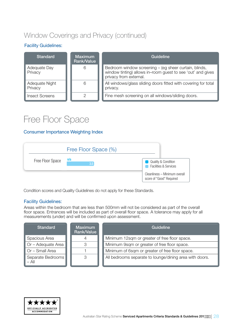### Window Coverings and Privacy (continued)

#### Facility Guidelines:

| <b>Standard</b>           | <b>Maximum</b><br>Rank/Value | Guideline                                                                                                                                      |
|---------------------------|------------------------------|------------------------------------------------------------------------------------------------------------------------------------------------|
| Adequate Day<br>Privacy   | 6                            | Bedroom window screening – (eg sheer curtain, blinds,<br>window tinting) allows in-room guest to see 'out' and gives<br>privacy from external. |
| Adequate Night<br>Privacy | 6                            | All windows/glass sliding doors fitted with covering for total<br>privacy.                                                                     |
| <b>Insect Screens</b>     |                              | Fine mesh screening on all windows/sliding doors.                                                                                              |

### Free Floor Space

#### Consumer Importance Weighting Index



Condition scores and Quality Guidelines do not apply for these Standards.

#### Facility Guidelines:

Areas within the bedroom that are less than 500mm will not be considered as part of the overall floor space. Entrances will be included as part of overall floor space. A tolerance may apply for all measurements (under) and will be confirmed upon assessment.

| <b>Standard</b>              | <b>Maximum</b><br>Rank/Value | Guideline                                               |
|------------------------------|------------------------------|---------------------------------------------------------|
| Spacious Area                |                              | Minimum 12sqm or greater of free floor space.           |
| $\Box$ Or – Adequate Area    | 3                            | Minimum 9sqm or greater of free floor space.            |
| Or - Small Area              |                              | Minimum of 6sqm or greater of free floor space.         |
| Separate Bedrooms<br>$-$ All | 3                            | All bedrooms separate to lounge/dining area with doors. |

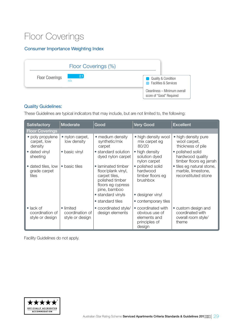### Floor Coverings

#### Consumer Importance Weighting Index



#### Quality Guidelines:

These Guidelines are typical indicators that may include, but are not limited to, the following:

| <b>Satisfactory</b>                                     | Moderate                                        | Good                                                                                                                                   | <b>Very Good</b>                                                                 | <b>Excellent</b>                                                        |  |  |
|---------------------------------------------------------|-------------------------------------------------|----------------------------------------------------------------------------------------------------------------------------------------|----------------------------------------------------------------------------------|-------------------------------------------------------------------------|--|--|
| <b>Floor Coverings</b>                                  |                                                 |                                                                                                                                        |                                                                                  |                                                                         |  |  |
| • poly propylene<br>carpet, low<br>density              | • nylon carpet,<br>low density                  | • medium density<br>synthetic/mix<br>carpet                                                                                            | • high density wool<br>mix carpet eg<br>80/20                                    | • high density pure<br>wool carpet,<br>thickness of pile                |  |  |
| • dated vinyl<br>sheeting                               | • basic vinyl                                   | • standard solution<br>dyed nylon carpet                                                                                               | • high density<br>solution dyed<br>nylon carpet                                  | • polished solid<br>hardwood quality<br>timber floors eg jarrah         |  |  |
| • dated tiles, low<br>grade carpet<br>tiles             | • basic tiles                                   | • laminated timber<br>floor/plank vinyl,<br>carpet tiles,<br>polished timber<br>floors eg cypress<br>pine, bamboo<br>• standard vinyls | • polished solid<br>hardwood<br>timber floors eg<br>brushbox<br>• designer vinyl | • tiles eg natural stone,<br>marble, limestone,<br>reconstituted stone  |  |  |
|                                                         |                                                 |                                                                                                                                        |                                                                                  |                                                                         |  |  |
|                                                         |                                                 | • standard tiles                                                                                                                       | • contemporary tiles                                                             |                                                                         |  |  |
| $\bullet$ lack of<br>coordination of<br>style or design | • limited<br>coordination of<br>style or design | • coordinated style/<br>design elements                                                                                                | • coordinated with<br>obvious use of<br>elements and<br>principles of<br>design  | • custom design and<br>coordinated with<br>overall room style/<br>theme |  |  |

Facility Guidelines do not apply.

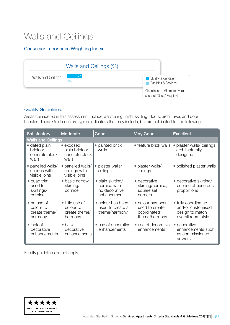### Walls and Ceilings

#### Consumer Importance Weighting Index



#### Quality Guidelines:

Areas considered in this assessment include wall/ceiling finish, skirting, doors, architraves and door handles. These Guidelines are typical indicators that may include, but are not limited to, the following:

| <b>Satisfactory</b>                                  | Moderate                                                 | Good                                                              | <b>Very Good</b>                                                    | <b>Excellent</b>                                                                  |
|------------------------------------------------------|----------------------------------------------------------|-------------------------------------------------------------------|---------------------------------------------------------------------|-----------------------------------------------------------------------------------|
| <b>Walls and Ceilings</b>                            |                                                          |                                                                   |                                                                     |                                                                                   |
| • dated plain<br>brick or<br>concrete block<br>walls | • exposed<br>plain brick or<br>concrete block<br>walls   | • painted brick<br>walls                                          | • feature brick walls                                               | plaster walls/ceilings,<br>$\bullet$<br>architecturally<br>designed               |
| · panelled walls/<br>ceilings with<br>visible joins  | · panelled walls/<br>ceilings with<br>visible joins      | • plaster walls/<br>ceilings                                      | • plaster walls/<br>ceilings                                        | • polished plaster walls                                                          |
| • quad trim<br>used for<br>skirtings/<br>cornice     | • basic narrow<br>skirting/<br>cornice                   | • plain skirting/<br>cornice with<br>no decorative<br>enhancement | • decorative<br>skirting/cornice,<br>square set<br>corners          | • decorative skirting/<br>cornice of generous<br>proportions                      |
| • no use of<br>colour to<br>create theme/<br>harmony | • little use of<br>colour to<br>create theme/<br>harmony | • colour has been<br>used to create a<br>theme/harmony            | • colour has been<br>used to create<br>coordinated<br>theme/harmony | • fully coordinated<br>and/or customised<br>design to match<br>overall room style |
| $\bullet$ lack of<br>decorative<br>enhancements      | • basic<br>decorative<br>enhancements                    | • use of decorative<br>enhancements                               | • use of decorative<br>enhancements                                 | • decorative<br>enhancements such<br>as commissioned<br>artwork                   |

Facility guidelines do not apply.

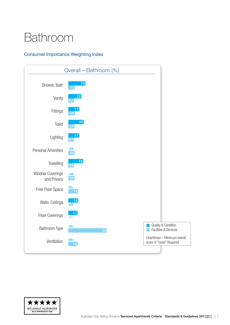## <span id="page-30-0"></span>Bathroom

#### Consumer Importance Weighting Index



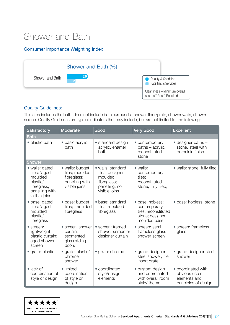### Shower and Bath

#### Consumer Importance Weighting Index



#### Quality Guidelines:

This area includes the bath (does not include bath surrounds), shower floor/grate, shower walls, shower screen. Quality Guidelines are typical indicators that may include, but are not limited to, the following:

| <b>Satisfactory</b>                                                                                      | Moderate                                                                            | Good                                                                                             | <b>Very Good</b>                                                                            | <b>Excellent</b>                                                             |
|----------------------------------------------------------------------------------------------------------|-------------------------------------------------------------------------------------|--------------------------------------------------------------------------------------------------|---------------------------------------------------------------------------------------------|------------------------------------------------------------------------------|
| Bath                                                                                                     |                                                                                     |                                                                                                  |                                                                                             |                                                                              |
| • plastic bath                                                                                           | • basic acrylic<br>bath                                                             | • standard design<br>acrylic, enamel<br>bath                                                     | • contemporary<br>baths - acrylic,<br>reconstituted<br>stone                                | $\bullet$ designer baths $-$<br>stone, steel with<br>porcelain finish        |
| <b>Shower</b>                                                                                            |                                                                                     |                                                                                                  |                                                                                             |                                                                              |
| • walls: dated<br>tiles; 'aged'<br>moulded<br>plastic/<br>fibreglass;<br>panelling with<br>visible joins | · walls: budget<br>tiles; moulded<br>fibreglass;<br>panelling with<br>visible joins | • walls: standard<br>tiles, designer<br>moulded<br>fibreglass;<br>panelling, no<br>visible joins | $\bullet$ walls:<br>contemporary<br>tiles;<br>reconstituted<br>stone; fully tiled;          | • walls: stone; fully tiled                                                  |
| • base: dated<br>tiles; 'aged'<br>moulded<br>plastic/<br>fibreglass                                      | · base: budget<br>tiles; moulded<br>fibreglass                                      | • base: standard<br>tiles, moulded<br>fibreglass                                                 | · base: hobless:<br>contemporary<br>tiles; reconstituted<br>stone; designer<br>moulded base | · base: hobless; stone                                                       |
| • screen:<br>lightweight<br>plastic curtain;<br>aged shower<br>screen                                    | • screen: shower<br>curtain,<br>segmented<br>glass sliding<br>doors                 | • screen: framed<br>shower screen or<br>designer curtain                                         | • screen: semi<br>frameless glass<br>shower screen                                          | • screen: frameless<br>glass                                                 |
| • grate: plastic                                                                                         | • grate: plastic/<br>chrome<br>shower                                               | • grate: chrome                                                                                  | • grate: designer<br>steel shower; tile<br>insert grate                                     | · grate: designer steel<br>shower                                            |
| $\bullet$ lack of<br>coordination of<br>style or design                                                  | • limited<br>coordination<br>of style or<br>design                                  | • coordinated<br>style/design<br>elements                                                        | • custom design<br>and coordinated<br>with overall room<br>style/ theme                     | • coordinated with<br>obvious use of<br>elements and<br>principles of design |

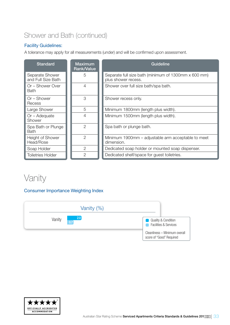### Shower and Bath (continued)

#### Facility Guidelines:

A tolerance may apply for all measurements (under) and will be confirmed upon assessment.

| <b>Standard</b>                       | <b>Maximum</b><br><b>Rank/Value</b> | Guideline                                                                   |
|---------------------------------------|-------------------------------------|-----------------------------------------------------------------------------|
| Separate Shower<br>and Full Size Bath | 5                                   | Separate full size bath (minimum of 1300mm x 600 mm)<br>plus shower recess. |
| Or – Shower Over<br><b>Bath</b>       | 4                                   | Shower over full size bath/spa bath.                                        |
| Or – Shower<br>Recess                 | 3                                   | Shower recess only.                                                         |
| Large Shower                          | 5                                   | Minimum 1800mm (length plus width).                                         |
| $Or - Adequate$<br>Shower             | 4                                   | Minimum 1500mm (length plus width).                                         |
| Spa Bath or Plunge<br><b>Bath</b>     | $\overline{2}$                      | Spa bath or plunge bath.                                                    |
| Height of Shower<br>Head/Rose         | $\overline{2}$                      | Minimum 1900mm – adjustable arm acceptable to meet<br>dimension.            |
| Soap Holder                           | $\overline{2}$                      | Dedicated soap holder or mounted soap dispenser.                            |
| <b>Toiletries Holder</b>              | 2                                   | Dedicated shelf/space for guest toiletries.                                 |

### Vanity

#### Consumer Importance Weighting Index



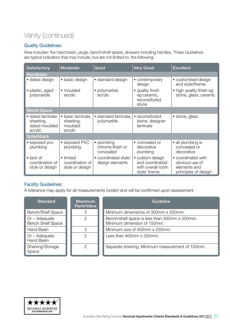### Vanity (continued)

#### Quality Guidelines:

Area includes: the hand basin, plugs, bench/shelf space, drawers including handles. These Guidelines are typical indicators that may include, but are not limited to, the following:

| <b>Satisfactory</b>                                       | Moderate                                            | Good                                        | <b>Very Good</b>                                                        | <b>Excellent</b>                                                             |
|-----------------------------------------------------------|-----------------------------------------------------|---------------------------------------------|-------------------------------------------------------------------------|------------------------------------------------------------------------------|
| <b>Handbasin</b>                                          |                                                     |                                             |                                                                         |                                                                              |
| • dated design                                            | • basic design                                      | • standard design                           | • contemporary<br>design                                                | • customised design<br>and style/theme                                       |
| · plastic, aged<br>polymarble                             | $\bullet$ moulded<br>acrylic                        | • polymarble,<br>acrylic                    | • quality finish<br>eg ceramic,<br>reconstituted<br>stone               | • high quality finish eg<br>stone, glass, ceramic                            |
| <b>Bench Space</b>                                        |                                                     |                                             |                                                                         |                                                                              |
| • dated laminate<br>sheeting,<br>dated moulded<br>acrylic | • basic laminate<br>sheeting,<br>moulded<br>acrylic | • standard laminate.<br>polymarble          | • reconstituted<br>stone, designer<br>laminate                          | · stone, glass                                                               |
| <b>Splashback</b>                                         |                                                     |                                             |                                                                         |                                                                              |
| • exposed pvc<br>plumbing                                 | • exposed PVC<br>plumbing                           | • plumbing<br>chrome finish or<br>concealed | • concealed or<br>decorative<br>plumbing                                | • all plumbing is<br>concealed or<br>decorative                              |
| $\bullet$ lack of<br>coordination of<br>style or design   | • limited<br>coordination of<br>style or design     | • coordinated style/<br>design elements     | • custom design<br>and coordinated<br>with overall room<br>style/ theme | • coordinated with<br>obvious use of<br>elements and<br>principles of design |

#### Facility Guidelines:

A tolerance may apply for all measurements (under) and will be confirmed upon assessment.

| <b>Standard</b>                             | <b>Maximum</b><br>Rank/Value | Guideline                                                                    |
|---------------------------------------------|------------------------------|------------------------------------------------------------------------------|
| <b>Bench/Shelf Space</b>                    | 3                            | Minimum dimensions of 300mm x 200mm.                                         |
| $Or - Adequate$<br><b>Bench Shelf Space</b> | 2                            | Bench/shelf space is less than 300mm x 200mm.<br>Minimum dimension of 150mm. |
| Hand Basin                                  | 3                            | Minimum size of 400mm x 250mm.                                               |
| $Or - Adequate$<br>Hand Basin               | 2                            | Less than 400mm x 250mm.                                                     |
| Shelving/Storage<br>Space                   | っ                            | Separate shelving, Minimum measurement of 150mm.                             |

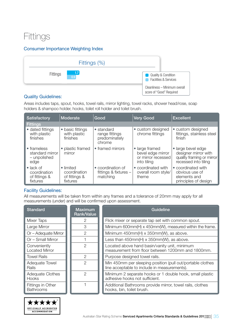### **Fittings**

#### Consumer Importance Weighting Index

| Fittings (%)                                       |                                                                                              |
|----------------------------------------------------|----------------------------------------------------------------------------------------------|
| $\sqrt{17}$<br><b>Fittings</b><br>$\overline{0.9}$ | <b>Quality &amp; Condition</b><br><b>Facilities &amp; Services</b><br><b>Service Service</b> |
|                                                    | Cleanliness - Minimum overall<br>score of "Good" Required                                    |

#### Quality Guidelines:

Areas includes taps, spout, hooks, towel rails, mirror lighting, towel racks, shower head/rose, soap holders & shampoo holder, hooks, toilet roll holder and toilet brush.

| Satisfactory                                                   | Moderate                                               | Good                                                    | <b>Very Good</b>                                                         | <b>Excellent</b>                                                                                |
|----------------------------------------------------------------|--------------------------------------------------------|---------------------------------------------------------|--------------------------------------------------------------------------|-------------------------------------------------------------------------------------------------|
| <b>Fittings</b>                                                |                                                        |                                                         |                                                                          |                                                                                                 |
| • dated fittings<br>with plastic<br>finishes                   | • basic fittings<br>with plastic<br>finishes           | • standard<br>range fittings<br>predominately<br>chrome | • custom designed<br>chrome fittings                                     | • custom designed<br>fittings, stainless steel<br>finish                                        |
| • frameless<br>standard mirror<br>- unpolished<br>edge         | • plastic framed<br>mirror                             | • framed mirrors                                        | • large framed<br>bevel edge mirror<br>or mirror recessed<br>into tiling | • large bevel edge<br>designer mirror with<br>quality framing or mirror<br>recessed into tiling |
| $\bullet$ lack of<br>coordination<br>of fittings &<br>fixtures | • limited<br>coordination<br>of fittings &<br>fixtures | • coordination of<br>fittings & fixtures -<br>matching  | • coordinated with<br>overall room style/<br>theme                       | • coordinated with<br>obvious use of<br>elements and<br>principles of design                    |

#### Facility Guidelines:

All measurements will be taken from within any frames and a tolerance of 20mm may apply for all measurements (under) and will be confirmed upon assessment.

| <b>Standard</b>                       | <b>Maximum</b><br><b>Rank/Value</b> | Guideline                                                                                                  |
|---------------------------------------|-------------------------------------|------------------------------------------------------------------------------------------------------------|
| Mixer Taps                            | 2                                   | Flick mixer or separate tap set with common spout.                                                         |
| Large Mirror                          | З                                   | Minimum 600mm(H) x 450mm(W), measured within the frame.                                                    |
| Or - Adequate Mirror                  | 2                                   | Minimum 450mm(H) x 350mm(W), as above.                                                                     |
| Or - Small Mirror                     |                                     | Less than $450mm(H) \times 350mm(W)$ , as above.                                                           |
| Conveniently<br><b>Located Mirror</b> | $\mathcal{P}$                       | Located above hand basin/vanity unit, minimum<br>measurement from floor between 1200mm and 1800mm.         |
| <b>Towel Rails</b>                    | $\mathcal{P}$                       | Purpose designed towel rails.                                                                              |
| Adequate Towel<br>Rails               | $\mathcal{P}$                       | Min 450mm per sleeping position (pull out/portable clothes<br>line acceptable to include in measurements). |
| Adequate Clothes<br>Hooks             | 2                                   | Minimum 2 separate hooks or 1 double hook, small plastic<br>adhesive hooks not sufficient.                 |
| Fittings in Other<br><b>Bathrooms</b> |                                     | Additional Bathrooms provide mirror, towel rails, clothes<br>hooks, bin, toilet brush.                     |

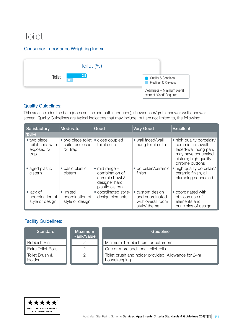### **Toilet**

#### Consumer Importance Weighting Index



#### Quality Guidelines:

This area includes the bath (does not include bath surrounds), shower floor/grate, shower walls, shower screen. Quality Guidelines are typical indicators that may include, but are not limited to, the following:

| <b>Satisfactory</b>                                     | Moderate                                          | Good                                                                                            | <b>Very Good</b>                                                        | <b>Excellent</b>                                                                                                                         |
|---------------------------------------------------------|---------------------------------------------------|-------------------------------------------------------------------------------------------------|-------------------------------------------------------------------------|------------------------------------------------------------------------------------------------------------------------------------------|
| <b>Toilet</b>                                           |                                                   |                                                                                                 |                                                                         |                                                                                                                                          |
| • two piece<br>toilet suite with<br>exposed 'S'<br>trap | • two piece toilet<br>suite, enclosed<br>'S' trap | • close coupled<br>toilet suite                                                                 | • wall faced/wall<br>hung toilet suite                                  | • high quality porcelain/<br>ceramic finishwall<br>faced/wall hung pan,<br>may have concealed<br>cistern; high quality<br>chrome buttons |
| • aged plastic<br>cistern                               | • basic plastic<br>cistern                        | $\bullet$ mid range $-$<br>combination of<br>ceramic bowl &<br>designer hard<br>plastic cistern | • porcelain/ceramic<br>finish                                           | high quality porcelain/<br>ceramic finish, all<br>plumbing concealed                                                                     |
| $\bullet$ lack of<br>coordination of<br>style or design | • limited<br>coordination of<br>style or design   | • coordinated style/<br>design elements                                                         | • custom design<br>and coordinated<br>with overall room<br>style/ theme | • coordinated with<br>obvious use of<br>elements and<br>principles of design                                                             |

| <b>Standard</b>           | <b>Maximum</b><br>Rank/Value | Guideline                                                             |
|---------------------------|------------------------------|-----------------------------------------------------------------------|
| Rubbish Bin               |                              | Minimum 1 rubbish bin for bathroom.                                   |
| <b>Extra Toilet Rolls</b> |                              | One or more additional toilet rolls.                                  |
| Toilet Brush &<br>Holder  | $\mathcal{P}$                | Toilet brush and holder provided. Allowance for 24hr<br>housekeeping. |

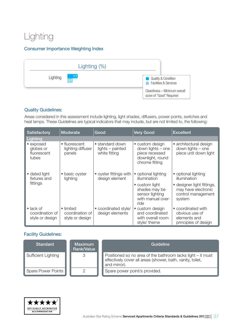### Lighting

#### Consumer Importance Weighting Index



#### Quality Guidelines:

Areas considered in this assessment include lighting, light shades, diffusers, power points, switches and heat lamps. These Guidelines are typical indicators that may include, but are not limited to, the following:

| <b>Satisfactory</b>                                     | Moderate                                        | Good                                                 | <b>Very Good</b>                                                                             | <b>Excellent</b>                                                                  |
|---------------------------------------------------------|-------------------------------------------------|------------------------------------------------------|----------------------------------------------------------------------------------------------|-----------------------------------------------------------------------------------|
| Lighting                                                |                                                 |                                                      |                                                                                              |                                                                                   |
| • exposed<br>globes or<br>fluorescent<br>tubes          | • fluorescent<br>lighting diffuser<br>panels    | • standard down<br>lights - painted<br>white fitting | • custom design<br>down lights - one<br>piece recessed<br>downlight, round<br>chrome fitting | • architectural design<br>down lights - one<br>piece unit down light              |
| • dated light<br>fixtures and                           | • basic oyster<br>lighting                      | • oyster fittings with<br>design element             | • optional lighting<br>illumination                                                          | • optional lighting<br>illumination                                               |
| fittings                                                |                                                 |                                                      | • custom light<br>shades may be<br>sensor lighting<br>with manual over-<br>ride              | • designer light fittings,<br>may have electronic<br>control management<br>system |
| $\bullet$ lack of<br>coordination of<br>style or design | • limited<br>coordination of<br>style or design | • coordinated style/<br>design elements              | • custom design<br>and coordinated<br>with overall room<br>style/ theme                      | • coordinated with<br>obvious use of<br>elements and<br>principles of design      |

| <b>Standard</b>     | <b>Maximum</b><br>Rank/Value | Guideline                                                                                                                                 |
|---------------------|------------------------------|-------------------------------------------------------------------------------------------------------------------------------------------|
| Sufficient Lighting | 3                            | Positioned so no area of the bathroom lacks light – it must<br>effectively cover all areas (shower, bath, vanity, toilet,<br>and mirror). |
| Spare Power Points  |                              | Spare power point/s provided.                                                                                                             |

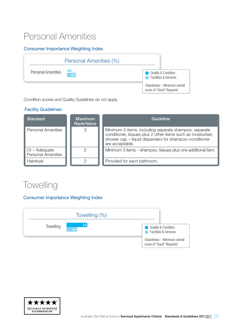### Personal Amenities

#### Consumer Importance Weighting Index



Condition scores and Quality Guidelines do not apply.

#### Facility Guidelines:

| <b>Standard</b>                                   | Maximum<br><b>Rank/Value</b> | Guideline                                                                                                                                                                                          |
|---------------------------------------------------|------------------------------|----------------------------------------------------------------------------------------------------------------------------------------------------------------------------------------------------|
| <b>Personal Amenities</b>                         | 3                            | Minimum 5 items, including separate shampoo, separate<br>conditioner, tissues plus 2 other items such as moisturiser,<br>shower cap - liquid dispensers for shampoo-conditioner<br>are acceptable. |
| $\Box$ Or – Adequate<br><b>Personal Amenities</b> |                              | Minimum 3 items – shampoo, tissues plus one additional item.                                                                                                                                       |
| Hairdryer                                         |                              | Provided for each bathroom.                                                                                                                                                                        |

### **Towelling**

#### Consumer Importance Weighting Index



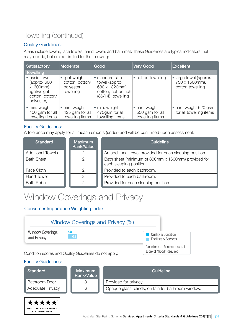### Towelling (continued)

#### Quality Guidelines:

Areas include towels, face towels, hand towels and bath mat. These Guidelines are typical indicators that may include, but are not limited to, the following:

| <b>Satisfactory</b>                                                                      | Moderate                                                    | Good                                                                                          | <b>Very Good</b>                                    | <b>Excellent</b>                                            |
|------------------------------------------------------------------------------------------|-------------------------------------------------------------|-----------------------------------------------------------------------------------------------|-----------------------------------------------------|-------------------------------------------------------------|
| <b>Towelling</b>                                                                         |                                                             |                                                                                               |                                                     |                                                             |
| • basic towel<br>(approx 600)<br>x1300mm<br>lightweight<br>cotton; cotton/<br>polyester, | • light weight<br>cotton, cotton/<br>polyester<br>towelling | • standard size<br>towel (approx<br>680 x 1320mm)<br>cotton; cotton rich<br>(86/14) towelling | • cotton towelling                                  | • large towel (approx<br>750 x 1500mm),<br>cotton towelling |
| • min. weight<br>400 gsm for all<br>towelling items                                      | • min. weight<br>425 gsm for all<br>towelling items         | • min. weight<br>475gsm for all<br>towelling items                                            | · min. weight<br>550 gsm for all<br>towelling items | • min. weight 620 gsm<br>for all towelling items            |

#### Facility Guidelines:

A tolerance may apply for all measurements (under) and will be confirmed upon assessment.

| <b>Standard</b>          | <b>Maximum</b><br>Rank/Value | Guideline                                                                      |
|--------------------------|------------------------------|--------------------------------------------------------------------------------|
| <b>Additional Towels</b> | ◠                            | An additional towel provided for each sleeping position.                       |
| <b>Bath Sheet</b>        | $\mathcal{P}$                | Bath sheet (minimum of 800mm x 1600mm) provided for<br>each sleeping position. |
| Face Cloth               | 2                            | Provided to each bathroom.                                                     |
| <b>Hand Towel</b>        | ◠                            | Provided to each bathroom.                                                     |
| <b>Bath Robe</b>         | ∩                            | Provided for each sleeping position.                                           |

### Window Coverings and Privacy

#### Consumer Importance Weighting Index



#### Facility Guidelines:

\*\*\*\*\* OFFICIALLY ACCREDITED **ACCOMMODATION** 

| <b>Standard</b>         | <b>Maximum</b><br>Rank/Value | Guideline                                          |
|-------------------------|------------------------------|----------------------------------------------------|
| <b>Bathroom Door</b>    |                              | Provided for privacy.                              |
| <b>Adequate Privacy</b> |                              | Opaque glass, blinds, curtain for bathroom window. |

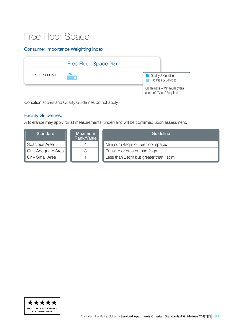### Free Floor Space

#### Consumer Importance Weighting Index



Condition scores and Quality Guidelines do not apply.

#### Facility Guidelines:

A tolerance may apply for all measurements (under) and will be confirmed upon assessment.

| <b>Standard</b>           | <b>Maximum</b><br>Rank/Value | Guideline                             |
|---------------------------|------------------------------|---------------------------------------|
| Spacious Area             |                              | Minimum 4sqm of free floor space.     |
| $\Box$ Or – Adequate Area | 3                            | Equal to or greater than 2sqm.        |
| $\Box$ Or – Small Area    |                              | Less than 2sqm but greater than 1sqm. |

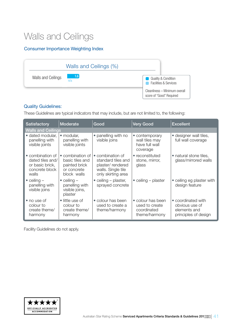### Walls and Ceilings

#### Consumer Importance Weighting Index

|                    | Walls and Ceilings (%) |                                                                    |
|--------------------|------------------------|--------------------------------------------------------------------|
| Walls and Ceilings | $-1.6$<br>n/a          | <b>Quality &amp; Condition</b><br><b>Facilities &amp; Services</b> |
|                    |                        | Cleanliness - Minimum overall<br>score of "Good" Required          |

#### Quality Guidelines:

These Guidelines are typical indicators that may include, but are not limited to, the following:

| <b>Satisfactory</b>                                                                | Moderate                                                                                      | Good                                                                                                   | <b>Very Good</b>                                                    | <b>Excellent</b>                                                             |
|------------------------------------------------------------------------------------|-----------------------------------------------------------------------------------------------|--------------------------------------------------------------------------------------------------------|---------------------------------------------------------------------|------------------------------------------------------------------------------|
| <b>Walls and Ceilings</b>                                                          |                                                                                               |                                                                                                        |                                                                     |                                                                              |
| · dated modular,<br>panelling with<br>visible joints                               | modular,<br>$\bullet$<br>panelling with<br>visible joints                                     | • panelling with no<br>visible joins                                                                   | • contemporary<br>wall tiles may<br>have full wall<br>coverage      | • designer wall tiles,<br>full wall coverage                                 |
| • combination of<br>dated tiles and/<br>or basic brick,<br>concrete block<br>walls | combination of<br>$\bullet$<br>basic tiles and<br>painted brick<br>or concrete<br>block walls | • combination of<br>standard tiles and<br>plaster/rendered<br>walls. Single tile<br>only skirting area | • reconstituted<br>stone, mirror,<br>glass                          | • natural stone tiles,<br>glass/mirrored walls                               |
| $\bullet$ ceiling $-$<br>panelling with<br>visible joins                           | $\bullet$ ceiling $-$<br>panelling with<br>visible joins,<br>plaster                          | • ceiling $-$ plaster,<br>sprayed concrete                                                             | $\bullet$ ceiling – plaster                                         | • ceiling eg plaster with<br>design feature                                  |
| • no use of<br>colour to<br>create theme/<br>harmony                               | • little use of<br>colour to<br>create theme/<br>harmony                                      | • colour has been<br>used to create a<br>theme/harmony                                                 | • colour has been<br>used to create<br>coordinated<br>theme/harmony | • coordinated with<br>obvious use of<br>elements and<br>principles of design |

Facility Guidelines do not apply.

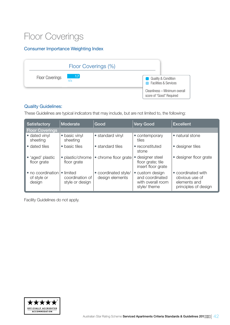### Floor Coverings

#### Consumer Importance Weighting Index



#### Quality Guidelines:

These Guidelines are typical indicators that may include, but are not limited to, the following:

| Satisfactory                               | <b>Moderate</b>                                 | Good                                    | <b>Very Good</b>                                                        | <b>Excellent</b>                                                             |
|--------------------------------------------|-------------------------------------------------|-----------------------------------------|-------------------------------------------------------------------------|------------------------------------------------------------------------------|
| <b>Floor Coverings</b>                     |                                                 |                                         |                                                                         |                                                                              |
| • dated vinyl<br>sheeting                  | • basic vinyl<br>sheeting                       | • standard vinyl                        | • contemporary<br>tiles                                                 | • natural stone                                                              |
| • dated tiles                              | • basic tiles                                   | • standard tiles                        | • reconstituted<br>stone                                                | • designer tiles                                                             |
| • 'aged' plastic<br>floor grate            | plastic/chrome<br>floor grate                   | • chrome floor grate                    | designer steel<br>floor grate; tile<br>insert floor grate               | • designer floor grate                                                       |
| • no coordination<br>of style or<br>design | • limited<br>coordination of<br>style or design | • coordinated style/<br>design elements | • custom design<br>and coordinated<br>with overall room<br>style/ theme | • coordinated with<br>obvious use of<br>elements and<br>principles of design |

Facility Guidelines do not apply.

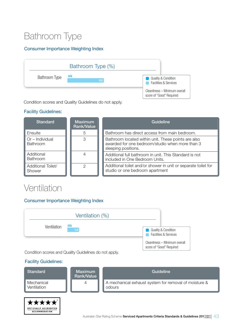### Bathroom Type

#### Consumer Importance Weighting Index



Condition scores and Quality Guidelines do not apply.

#### Facility Guidelines:

| <b>Standard</b>                    | <b>Maximum</b><br>Rank/Value | Guideline                                                                                                                     |
|------------------------------------|------------------------------|-------------------------------------------------------------------------------------------------------------------------------|
| Ensuite                            | 5                            | Bathroom has direct access from main bedroom.                                                                                 |
| Or – Individual<br><b>Bathroom</b> | З                            | Bathroom located within unit. These points are also<br>awarded for one bedroom/studio when more than 3<br>sleeping positions. |
| Additional<br>Bathroom             |                              | Additional full bathroom in unit. This Standard is not<br>included in One Bedroom Units.                                      |
| Additional Toilet/<br>Shower       | $\mathcal{P}$                | Additional toilet and/or shower in unit or separate toilet for<br>studio or one bedroom apartment                             |

### Ventilation

#### Consumer Importance Weighting Index



Condition scores and Quality Guidelines do not apply.

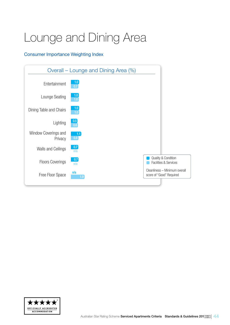## <span id="page-43-0"></span>Lounge and Dining Area

#### Consumer Importance Weighting Index



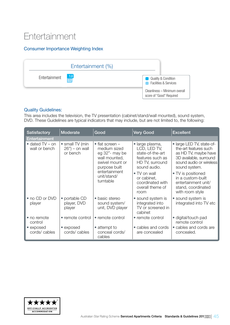### **Entertainment**

#### Consumer Importance Weighting Index



#### Quality Guidelines:

This area includes the television, the TV presentation (cabinet/stand/wall mounted), sound system, DVD. These Guidelines are typical indicators that may include, but are not limited to, the following:

| <b>Satisfactory</b>                                                                          | Moderate                                  | Good                                                                                                           | <b>Very Good</b>                                                                                           | <b>Excellent</b>                                                                                                                                 |
|----------------------------------------------------------------------------------------------|-------------------------------------------|----------------------------------------------------------------------------------------------------------------|------------------------------------------------------------------------------------------------------------|--------------------------------------------------------------------------------------------------------------------------------------------------|
| <b>Entertainment</b>                                                                         |                                           |                                                                                                                |                                                                                                            |                                                                                                                                                  |
| • small TV (min<br>$\bullet$ dated TV – on<br>wall or bench<br>$26"$ ) – on wall<br>or bench |                                           | $\bullet$ flat screen -<br>medium sized<br>eg 32"- may be<br>wall mounted,<br>swivel mount or<br>purpose built | · large plasma,<br>LCD, LED TV,<br>state-of-the-art<br>features such as<br>HD TV, surround<br>sound audio. | • large LED TV, state-of-<br>the-art features such<br>as HD TV, maybe have<br>3D available, surround<br>sound audio or wireless<br>sound system. |
|                                                                                              | entertainment<br>unit/stand/<br>turntable | • TV on wall<br>or cabinet,<br>coordinated with<br>overall theme of<br>room                                    | • TV is positioned<br>in a custom-built<br>entertainment unit/<br>stand, coordinated<br>with room style    |                                                                                                                                                  |
| • no CD or DVD<br>player                                                                     | • portable CD<br>player, DVD<br>player    | • basic stereo<br>sound system/<br>unit, DVD player                                                            | • sound system is<br>integrated into<br>TV or screened in<br>cabinet                                       | • sound system is<br>integrated into TV etc                                                                                                      |
| • no remote<br>control                                                                       | • remote control                          | • remote control                                                                                               | • remote control                                                                                           | • digital/touch pad<br>remote control                                                                                                            |
| • exposed<br>cords/cables                                                                    | • exposed<br>cords/cables                 | • attempt to<br>conceal cords/<br>cables                                                                       | • cables and cords<br>are concealed                                                                        | • cables and cords are<br>concealed.                                                                                                             |

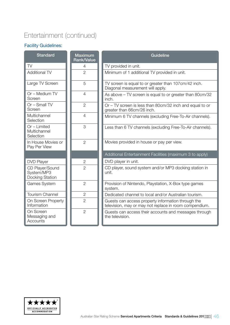### Entertainment (continued)

| <b>Standard</b>                                  | <b>Maximum</b><br>Rank/Value | Guideline                                                                                                    |
|--------------------------------------------------|------------------------------|--------------------------------------------------------------------------------------------------------------|
| <b>TV</b>                                        | 4                            | TV provided in unit.                                                                                         |
| <b>Additional TV</b>                             | $\overline{2}$               | Minimum of 1 additional TV provided in unit.                                                                 |
| Large TV Screen                                  | 5                            | TV screen is equal to or greater than 107cm/42 inch.<br>Diagonal measurement will apply.                     |
| Or - Medium TV<br>Screen                         | $\overline{4}$               | As above – TV screen is equal to or greater than 80cm/32<br>inch.                                            |
| $Or$ – Small TV<br>Screen                        | $\overline{2}$               | Or – TV screen is less than 80cm/32 inch and equal to or<br>greater than 66cm/26 inch.                       |
| Multichannel<br>Selection                        | $\overline{4}$               | Minimum 6 TV channels (excluding Free-To-Air channels).                                                      |
| Or - Limited<br>Multichannel<br>Selection        | 3                            | Less than 6 TV channels (excluding Free-To-Air channels).                                                    |
| In House Movies or<br>Pay Per View               | $\overline{2}$               | Movies provided in house or pay per view.                                                                    |
|                                                  |                              | Additional Entertainment Facilities (maximum 3 to apply)                                                     |
| <b>DVD Player</b>                                | $\overline{2}$               | DVD player in unit.                                                                                          |
| CD Player/Sound<br>System/MP3<br>Docking Station | $\overline{2}$               | CD player, sound system and/or MP3 docking station in<br>unit.                                               |
| Games System                                     | $\overline{2}$               | Provision of Nintendo, Playstation, X-Box type games<br>system.                                              |
| <b>Tourism Channel</b>                           | $\overline{2}$               | Dedicated channel to local and/or Australian tourism.                                                        |
| On Screen Property<br>Information                | $\overline{2}$               | Guests can access property information through the<br>television, may or may not replace in room compendium. |
| On Screen<br>Messaging and<br>Accounts           | $\overline{2}$               | Guests can access their accounts and messages through<br>the television.                                     |

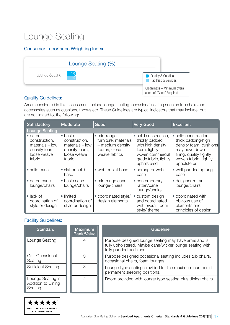### Lounge Seating

#### Consumer Importance Weighting Index



#### Quality Guidelines:

Areas considered in this assessment include lounge seating, occasional seating such as tub chairs and accessories such as cushions, throws etc. These Guidelines are typical indicators that may include, but are not limited to, the following:

| <b>Satisfactory</b>                                                                     | <b>Moderate</b>                                                                                 | Good                                                                                     | <b>Very Good</b>                                                                                                                          | <b>Excellent</b>                                                                                                                                           |
|-----------------------------------------------------------------------------------------|-------------------------------------------------------------------------------------------------|------------------------------------------------------------------------------------------|-------------------------------------------------------------------------------------------------------------------------------------------|------------------------------------------------------------------------------------------------------------------------------------------------------------|
| <b>Lounge Seating</b>                                                                   |                                                                                                 |                                                                                          |                                                                                                                                           |                                                                                                                                                            |
| • dated<br>construction,<br>$materials - low$<br>density foam,<br>loose weave<br>fabric | $\bullet$ basic<br>construction,<br>$materials - low$<br>density foam,<br>loose weave<br>fabric | • mid-range<br>furniture, materials<br>- medium density<br>foams, close<br>weave fabrics | • solid construction,<br>thickly padded<br>with high density<br>foam, tightly<br>woven commercial<br>grade fabric, tightly<br>upholstered | • solid construction,<br>thick padding/high<br>density foam, cushions<br>may have down<br>filling, quality tightly<br>woven fabric, tightly<br>upholstered |
| • solid base                                                                            | • slat or solid<br>base                                                                         | • web or slat base                                                                       | • sprung or web<br>base                                                                                                                   | • well-padded sprung<br>base                                                                                                                               |
| • dated cane<br>lounge/chairs                                                           | • basic cane<br>lounge/chairs                                                                   | • mid range cane<br>lounge/chairs                                                        | • contemporary<br>rattan/cane<br>lounge/chairs                                                                                            | • designer rattan<br>lounge/chairs                                                                                                                         |
| $\bullet$ lack of<br>coordination of<br>style or design                                 | • limited<br>coordination of<br>style or design                                                 | • coordinated style/<br>design elements                                                  | • custom design<br>and coordinated<br>with overall room<br>style/ theme                                                                   | • coordinated with<br>obvious use of<br>elements and<br>principles of design                                                                               |

| <b>Standard</b>                                    | <b>Maximum</b><br><b>Rank/Value</b> | Guideline                                                                                                                                  |
|----------------------------------------------------|-------------------------------------|--------------------------------------------------------------------------------------------------------------------------------------------|
| Lounge Seating                                     |                                     | Purpose designed lounge seating may have arms and is<br>fully upholstered. Maybe cane/wicker lounge seating with<br>fully padded cushions. |
| Or – Occasional<br>Seating                         | 3                                   | Purpose designed occasional seating includes tub chairs,<br>occasional chairs, foam lounges.                                               |
| <b>Sufficient Seating</b>                          | 3                                   | Lounge type seating provided for the maximum number of<br>permanent sleeping positions.                                                    |
| Lounge Seating in<br>Addition to Dining<br>Seating | 2                                   | Room provided with lounge type seating plus dining chairs.                                                                                 |

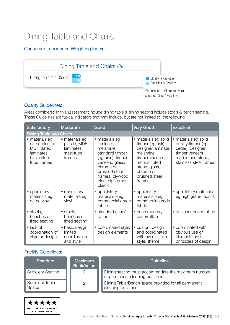### Dining Table and Chairs

#### Consumer Importance Weighting Index



#### Quality Guidelines:

Areas considered in this assessment include dining table & dining seating include stools & bench seating. These Guidelines are typical indicators that may include, but are not limited to, the following:

| Satisfactory                                                                               | Moderate                                                              | Good                                                                                                                                                                                 | <b>Very Good</b>                                                                                                                                                        | <b>Excellent</b>                                                                                                                 |
|--------------------------------------------------------------------------------------------|-----------------------------------------------------------------------|--------------------------------------------------------------------------------------------------------------------------------------------------------------------------------------|-------------------------------------------------------------------------------------------------------------------------------------------------------------------------|----------------------------------------------------------------------------------------------------------------------------------|
| <b>Dining Table and Chairs</b>                                                             |                                                                       |                                                                                                                                                                                      |                                                                                                                                                                         |                                                                                                                                  |
| · materials eg<br>dated plastic,<br>MDF, dated<br>laminates,<br>basic steel<br>tube frames | • materials eg<br>plastic, MDF,<br>laminates,<br>steel tube<br>frames | • materials eg<br>laminate,<br>melamine,<br>standard timber<br>(eg pine), timber<br>veneers, glass,<br>chrome or<br>brushed steel<br>frames, plywood,<br>pine, high grade<br>plastic | • materials eg solid<br>timber (eg oak)<br>designer laminate,<br>melamine,<br>timber veneers,<br>reconstituted<br>stone, glass,<br>chrome or<br>brushed steel<br>frames | • materials eg solid<br>quality timber (eg<br>cedar), designer<br>timber veneers,<br>marble and stone,<br>stainless steel frames |
| • upholstery<br>materials eg<br>dated vinyl                                                | • upholstery<br>materials eg<br>vinyl                                 | • upholstery<br>$materials - eg$<br>commercial grade<br>fabric                                                                                                                       | • upholstery<br>$materials - eg$<br>commercial grade<br>fabric                                                                                                          | • upholstery materials<br>eg high grade fabrics                                                                                  |
| • stools,<br>benches or<br>fixed seating                                                   | · stools,<br>benches or<br>fixed seating                              | • standard cane/<br>rattan                                                                                                                                                           | • contemporary<br>cane/rattan                                                                                                                                           | · designer cane/ rattan                                                                                                          |
| $\bullet$ lack of<br>coordination of<br>style or design                                    | · basic design,<br>limited<br>coordination<br>and style               | • coordinated style/<br>design elements                                                                                                                                              | • custom design<br>and coordinated<br>with overall room<br>style/ theme                                                                                                 | • coordinated with<br>obvious use of<br>elements and<br>principles of design                                                     |

| <b>Standard</b>           | <b>Maximum</b><br>Rank/Value | Guideline                                                                              |
|---------------------------|------------------------------|----------------------------------------------------------------------------------------|
| <b>Sufficient Seating</b> | 3                            | Dining seating must accommodate the maximum number<br>of permanent sleeping positions. |
| Sufficient Table<br>Space |                              | Dining Table/Bench space provided for all permanent<br>sleeping positions.             |

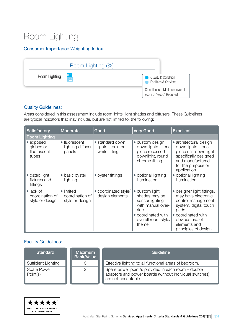### Room Lighting

#### Consumer Importance Weighting Index



#### Quality Guidelines:

Areas considered in this assessment include room lights, light shades and diffusers. These Guidelines are typical indicators that may include, but are not limited to, the following:

| <b>Satisfactory</b>                                     | <b>Moderate</b>                                 | Good                                                 | <b>Very Good</b>                                                                                                                      | <b>Excellent</b>                                                                                                                                                                       |
|---------------------------------------------------------|-------------------------------------------------|------------------------------------------------------|---------------------------------------------------------------------------------------------------------------------------------------|----------------------------------------------------------------------------------------------------------------------------------------------------------------------------------------|
| <b>Room Lighting</b>                                    |                                                 |                                                      |                                                                                                                                       |                                                                                                                                                                                        |
| • exposed<br>globes or<br>fluorescent<br>tubes          | • fluorescent<br>lighting diffuser<br>panels    | • standard down<br>lights - painted<br>white fitting | • custom design<br>down lights $-$ one<br>piece recessed<br>downlight, round<br>chrome fitting                                        | • architectural design<br>down lights – one<br>piece unit down light<br>specifically designed<br>and manufactured<br>for the purpose or<br>application                                 |
| • dated light<br>fixtures and<br>fittings               | • basic oyster<br>lighting                      | • oyster fittings                                    | • optional lighting<br>illumination                                                                                                   | • optional lighting<br>illumination                                                                                                                                                    |
| $\bullet$ lack of<br>coordination of<br>style or design | • limited<br>coordination of<br>style or design | • coordinated style/<br>design elements              | • custom light<br>shades may be<br>sensor lighting<br>with manual over-<br>ride<br>• coordinated with<br>overall room style/<br>theme | designer light fittings,<br>may have electronic<br>control management<br>system, digital touch<br>pads<br>• coordinated with<br>obvious use of<br>elements and<br>principles of design |

| <b>Standard</b>                     | <b>Maximum</b><br>Rank/Value | Guideline                                                                                                                            |
|-------------------------------------|------------------------------|--------------------------------------------------------------------------------------------------------------------------------------|
| Sufficient Lighting                 |                              | Effective lighting to all functional areas of bedroom.                                                                               |
| Spare Power<br>$\parallel$ Point(s) |                              | Spare power point/s provided in each room - double<br>adaptors and power boards (without individual switches)<br>are not acceptable. |

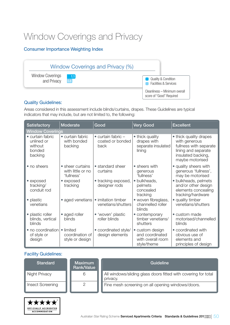### Window Coverings and Privacy

#### Consumer Importance Weighting Index



#### Quality Guidelines:

Areas considered in this assessment include blinds/curtains, drapes. These Guidelines are typical indicators that may include, but are not limited to, the following:

| Satisfactory                                                   | Moderate                                            | Good                                                     | <b>Very Good</b>                                                       | <b>Excellent</b>                                                                                                                  |
|----------------------------------------------------------------|-----------------------------------------------------|----------------------------------------------------------|------------------------------------------------------------------------|-----------------------------------------------------------------------------------------------------------------------------------|
| <b>Window Coverings</b>                                        |                                                     |                                                          |                                                                        |                                                                                                                                   |
| • curtain fabric<br>unlined or<br>without<br>bonded<br>backing | • curtain fabric<br>with bonded<br>backing          | $\bullet$ curtain fabric $-$<br>coated or bonded<br>back | • thick quality<br>drapes with<br>separate insulated<br>lining         | • thick quality drapes<br>with generous<br>fullness with separate<br>lining and separate<br>insulated backing,<br>maybe motorised |
| • no sheers                                                    | • sheer curtains<br>with little or no<br>'fullness' | • standard sheer<br>curtains                             | • sheers with<br>generous<br>'fullness'                                | • quality sheers with<br>generous 'fullness',<br>may be motorised                                                                 |
| • exposed<br>tracking/<br>conduit rod                          | • exposed<br>tracking                               | • tracking exposed,<br>designer rods                     | · bulkheads,<br>pelmets<br>concealed<br>tracking                       | · bulkheads, pelmets<br>and/or other design<br>elements concealing<br>tracking/hardware                                           |
| • plastic<br>venetians                                         | • aged venetians                                    | • imitation timber<br>venetians/shutters                 | • woven fibreglass,<br>channelled roller<br>blinds                     | • quality timber<br>venetians/shutters                                                                                            |
| · plastic roller<br>blinds, vertical<br>blinds                 | • aged roller<br>blinds                             | • 'woven' plastic<br>roller blinds                       | • contemporary<br>timber venetians/<br>shutters                        | • custom made<br>motorised/channelled<br>blinds                                                                                   |
| · no coordination<br>of style or<br>design                     | • limited<br>coordination of<br>style or design     | • coordinated style/<br>design elements                  | • custom design<br>and coordinated<br>with overall room<br>style/theme | • coordinated with<br>obvious use of<br>elements and<br>principles of design                                                      |

| <b>Standard</b>         | <b>Maximum</b><br>Rank/Value | Guideline                                                                  |
|-------------------------|------------------------------|----------------------------------------------------------------------------|
| Night Privacy           | 6                            | All windows/sliding glass doors fitted with covering for total<br>privacy. |
| <b>Insect Screening</b> |                              | Fine mesh screening on all opening windows/doors.                          |

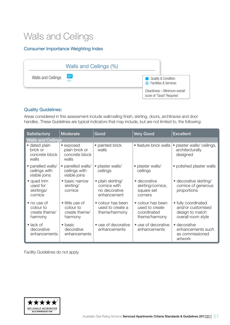### Walls and Ceilings

#### Consumer Importance Weighting Index

|                    | Walls and Ceilings (%)   |                                                                                         |
|--------------------|--------------------------|-----------------------------------------------------------------------------------------|
| Walls and Ceilings | $\vert 0.7 \vert$<br>n/a | <b>Quality &amp; Condition</b><br><b>Facilities &amp; Services</b><br><b>CONTRACTOR</b> |
|                    |                          | Cleanliness - Minimum overall<br>score of "Good" Required                               |

#### Quality Guidelines:

Areas considered in this assessment include wall/ceiling finish, skirting, doors, architraves and door handles. These Guidelines are typical indicators that may include, but are not limited to, the following:

| Satisfactory                                         | Moderate                                                 | Good                                                              | <b>Very Good</b>                                                    | <b>Excellent</b>                                                                  |  |
|------------------------------------------------------|----------------------------------------------------------|-------------------------------------------------------------------|---------------------------------------------------------------------|-----------------------------------------------------------------------------------|--|
| <b>Walls and Ceilings</b>                            |                                                          |                                                                   |                                                                     |                                                                                   |  |
| • dated plain<br>brick or<br>concrete block<br>walls | • exposed<br>plain brick or<br>concrete block<br>walls   | • painted brick<br>walls                                          | • feature brick walls                                               | plaster walls/ceilings,<br>$\bullet$<br>architecturally<br>designed               |  |
| • panelled walls/<br>ceilings with<br>visible joins  | • panelled walls/<br>ceilings with<br>visible joins      | · plaster walls/<br>ceilings                                      | • plaster walls/<br>ceilings                                        | • polished plaster walls                                                          |  |
| • quad trim<br>used for<br>skirtings/<br>cornice     | • basic narrow<br>skirting/<br>cornice                   | · plain skirting/<br>cornice with<br>no decorative<br>enhancement | • decorative<br>skirting/cornice,<br>square set<br>corners          | • decorative skirting/<br>cornice of generous<br>proportions                      |  |
| • no use of<br>colour to<br>create theme/<br>harmony | • little use of<br>colour to<br>create theme/<br>harmony | • colour has been<br>used to create a<br>theme/harmony            | • colour has been<br>used to create<br>coordinated<br>theme/harmony | • fully coordinated<br>and/or customised<br>design to match<br>overall room style |  |
| $\bullet$ lack of<br>decorative<br>enhancements      | $\bullet$ basic<br>decorative<br>enhancements            | • use of decorative<br>enhancements                               | • use of decorative<br>enhancements                                 | • decorative<br>enhancements such<br>as commissioned<br>artwork                   |  |

Facility Guidelines do not apply.

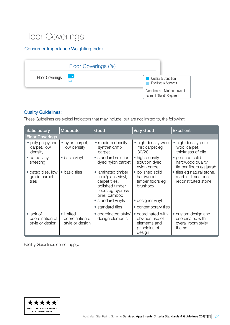### Floor Coverings

#### Consumer Importance Weighting Index



#### Quality Guidelines:

These Guidelines are typical indicators that may include, but are not limited to, the following:

| <b>Satisfactory</b>                                     | Moderate                                        | Good                                                                                                              | <b>Very Good</b>                                                                | <b>Excellent</b>                                                        |  |
|---------------------------------------------------------|-------------------------------------------------|-------------------------------------------------------------------------------------------------------------------|---------------------------------------------------------------------------------|-------------------------------------------------------------------------|--|
| <b>Floor Coverings</b>                                  |                                                 |                                                                                                                   |                                                                                 |                                                                         |  |
| • poly propylene<br>carpet, low<br>density              | • nylon carpet,<br>low density                  | • medium density<br>synthetic/mix<br>carpet                                                                       | • high density wool<br>mix carpet eg<br>80/20                                   | • high density pure<br>wool carpet,<br>thickness of pile                |  |
| • dated vinyl<br>sheeting                               | • basic vinyl                                   | • standard solution<br>dyed nylon carpet                                                                          | • high density<br>solution dyed<br>nylon carpet                                 | • polished solid<br>hardwood quality<br>timber floors eg jarrah         |  |
| • dated tiles, low<br>grade carpet<br>tiles             | • basic tiles                                   | • laminated timber<br>floor/plank vinyl,<br>carpet tiles,<br>polished timber<br>floors eg cypress<br>pine, bamboo | • polished solid<br>hardwood<br>timber floors eg<br>brushbox                    | • tiles eg natural stone,<br>marble, limestone,<br>reconstituted stone  |  |
|                                                         |                                                 | • standard vinyls                                                                                                 | • designer vinyl                                                                |                                                                         |  |
|                                                         |                                                 | • standard tiles                                                                                                  | • contemporary tiles                                                            |                                                                         |  |
| $\bullet$ lack of<br>coordination of<br>style or design | • limited<br>coordination of<br>style or design | • coordinated style/<br>design elements                                                                           | • coordinated with<br>obvious use of<br>elements and<br>principles of<br>design | • custom design and<br>coordinated with<br>overall room style/<br>theme |  |

Facility Guidelines do not apply.

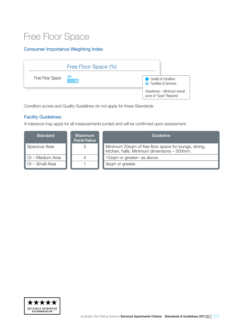### Free Floor Space

#### Consumer Importance Weighting Index

|                  | Free Floor Space (%) |                                                                    |
|------------------|----------------------|--------------------------------------------------------------------|
| Free Floor Space | n/a                  | <b>Quality &amp; Condition</b><br><b>Facilities &amp; Services</b> |
|                  |                      | Cleanliness - Minimum overall<br>score of "Good" Required          |

Condition scores and Quality Guidelines do not apply for these Standards.

#### Facility Guidelines:

A tolerance may apply for all measurements (under) and will be confirmed upon assessment.

| <b>Standard</b>                 | <b>Maximum</b><br>Rank/Value | Guideline                                                                                            |
|---------------------------------|------------------------------|------------------------------------------------------------------------------------------------------|
| <b>Spacious Area</b>            | 5                            | Minimum 20sqm of free floor space for lounge, dining,<br>kitchen, halls. Minimum dimensions - 500mm. |
| $\blacksquare$ Or – Medium Area |                              | 12sqm or greater- as above.                                                                          |
| $\Box$ Or – Small Area          |                              | 9sqm or greater.                                                                                     |

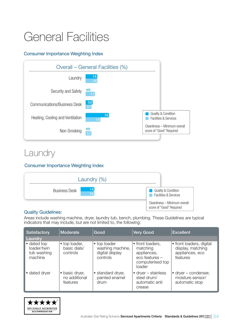## <span id="page-53-0"></span>General Facilities

#### Consumer Importance Weighting Index



### Laundry

#### Consumer Importance Weighting Index



#### Quality Guidelines:

Areas include washing machine, dryer, laundry tub, bench, plumbing. These Guidelines are typical indicators that may include, but are not limited to, the following:

| <b>Satisfactory</b>                                  | Moderate                                    | Good                                                            | <b>Very Good</b>                                                                            | <b>Excellent</b>                                                             |
|------------------------------------------------------|---------------------------------------------|-----------------------------------------------------------------|---------------------------------------------------------------------------------------------|------------------------------------------------------------------------------|
| Laundry                                              |                                             |                                                                 |                                                                                             |                                                                              |
| • dated top<br>loader/twin<br>tub washing<br>machine | • top loader,<br>basic dials/<br>controls   | • top loader<br>washing machine,<br>digital display<br>controls | • front loaders,<br>matching<br>appliances,<br>eco features -<br>computerised top<br>loader | • front loaders, digital<br>display, matching<br>appliances, eco<br>features |
| • dated dryer                                        | • basic dryer,<br>no additional<br>features | • standard dryer,<br>painted enamel<br>drum                     | $\bullet$ dryer – stainless<br>steel drum/<br>automatic anti<br>crease                      | $\bullet$ dryer – condenser,<br>moisture sensor/<br>automatic stop           |

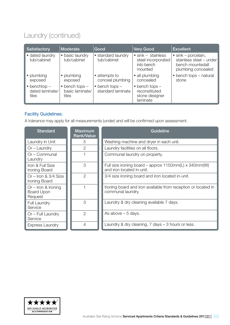### Laundry (continued)

| <b>Satisfactory</b>                              | <b>Moderate</b>                               | Good                                          | <b>Very Good</b>                                                          | <b>Excellent</b>                                                                                 |
|--------------------------------------------------|-----------------------------------------------|-----------------------------------------------|---------------------------------------------------------------------------|--------------------------------------------------------------------------------------------------|
| • dated laundry<br>tub/cabinet                   | • basic laundry<br>tub/cabinet                | • standard laundry<br>tub/cabinet             | $\bullet$ sink - stainless<br>steel incorporated<br>into bench<br>mounted | $\bullet$ sink – porcelain,<br>stainless steel - under<br>bench mountedall<br>plumbing concealed |
| • plumbing<br>exposed                            | • plumbing<br>exposed                         | • attempts to<br>conceal plumbing             | • all plumbing<br>concealed                                               | • bench tops – natural<br>stone                                                                  |
| $\bullet$ benchtop -<br>dated laminate/<br>tiles | bench tops -<br>٠<br>basic laminate/<br>tiles | $\bullet$ bench tops $-$<br>standard laminate | $\bullet$ bench tops $-$<br>reconstituted<br>stone designer<br>laminate   |                                                                                                  |

#### Facility Guidelines:

A tolerance may apply for all measurements (under) and will be confirmed upon assessment.

| <b>Standard</b>                                       | <b>Maximum</b><br><b>Rank/Value</b> | Guideline                                                                          |
|-------------------------------------------------------|-------------------------------------|------------------------------------------------------------------------------------|
| Laundry in Unit                                       | 5                                   | Washing machine and dryer in each unit.                                            |
| Or – Laundry                                          | $\mathcal{P}$                       | Laundry facilities on all floors.                                                  |
| Or – Communal<br>Laundry                              |                                     | Communal laundry on property.                                                      |
| Iron & Full Size<br>Ironing Board                     | 3                                   | Full size ironing board – approx 1150mm(L) x 340mm(W)<br>and iron located in-unit. |
| Or $-$ Iron & 3/4 Size<br>Ironing Board               | $\mathcal{P}$                       | 3/4 size ironing board and iron located in-unit.                                   |
| $Or - Iron$ & Ironing<br><b>Board Upon</b><br>Request |                                     | Ironing board and iron available from reception or located in<br>communal laundry. |
| <b>Full Laundry</b><br>Service                        | 3                                   | Laundry & dry cleaning available 7 days.                                           |
| Or - Full Laundry<br>Service                          | $\overline{2}$                      | As above $-5$ days.                                                                |
| <b>Express Laundry</b>                                | 4                                   | Laundry & dry cleaning, 7 days – 3 hours or less.                                  |

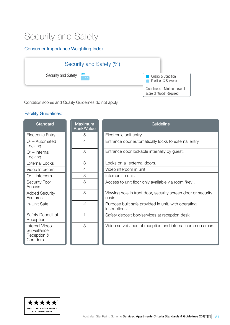### Security and Safety

#### Consumer Importance Weighting Index



Condition scores and Quality Guidelines do not apply.

| <b>Standard</b>                                            | <b>Maximum</b><br>Rank/Value | <b>Guideline</b>                                                       |
|------------------------------------------------------------|------------------------------|------------------------------------------------------------------------|
| Electronic Entry                                           | 5                            | Electronic unit entry.                                                 |
| Or - Automated<br>Locking                                  | $\overline{4}$               | Entrance door automatically locks to external entry.                   |
| $Or - Internal$<br>Locking                                 | 3                            | Entrance door lockable internally by guest.                            |
| <b>External Locks</b>                                      | 3                            | Locks on all external doors.                                           |
| Video Intercom                                             | $\overline{4}$               | Video intercom in unit.                                                |
| $Or - Intercom$                                            | 3                            | Intercom in unit.                                                      |
| <b>Security Foor</b><br>Access                             | 3                            | Access to unit floor only available via room 'key'.                    |
| <b>Added Security</b><br>Features                          | 3                            | Viewing hole in front door, security screen door or security<br>chain. |
| In-Unit Safe                                               | $\overline{2}$               | Purpose built safe provided in unit, with operating<br>instructions.   |
| Safety Deposit at<br>Reception                             |                              | Safety deposit box/services at reception desk.                         |
| Internal Video<br>Surveillance<br>Reception &<br>Corridors | 3                            | Video surveillance of reception and internal common areas.             |

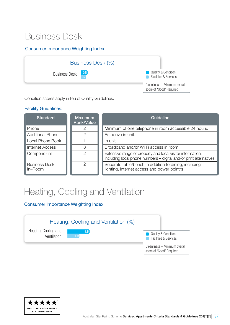### Business Desk

#### Consumer Importance Weighting Index



Condition scores apply in lieu of Quality Guidelines.

#### Facility Guidelines:

| <b>Standard</b>                 | <b>Maximum</b><br>Rank/Value | Guideline                                                                                                                        |
|---------------------------------|------------------------------|----------------------------------------------------------------------------------------------------------------------------------|
| Phone                           |                              | Minimum of one telephone in room accessible 24 hours.                                                                            |
| <b>Additional Phone</b>         | ∩                            | As above in unit.                                                                                                                |
| Local Phone Book                |                              | In unit.                                                                                                                         |
| <b>Internet Access</b>          | З                            | Broadband and/or Wi Fi access in room.                                                                                           |
| Compendium                      | 2                            | Extensive range of property and local visitor information,<br>including local phone numbers - digital and/or print alternatives. |
| <b>Business Desk</b><br>In-Room | 2                            | Separate table/bench in addition to dining, including<br>lighting, internet access and power point/s                             |

### Heating, Cooling and Ventilation

Consumer Importance Weighting Index



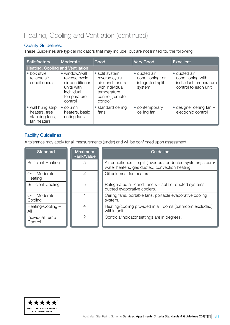### Heating, Cooling and Ventilation (continued)

#### Quality Guidelines:

These Guidelines are typical indicators that may include, but are not limited to, the following:

| Satisfactory                                                        | Moderate                                                                                                | Good                                                                                                                 | <b>Very Good</b>                                               | <b>Excellent</b>                                                                    |
|---------------------------------------------------------------------|---------------------------------------------------------------------------------------------------------|----------------------------------------------------------------------------------------------------------------------|----------------------------------------------------------------|-------------------------------------------------------------------------------------|
| Heating, Cooling and Ventilation                                    |                                                                                                         |                                                                                                                      |                                                                |                                                                                     |
| • box style<br>reverse air<br>conditioners                          | • window/wall<br>reverse cycle<br>air conditioner<br>units with<br>individual<br>temperature<br>control | • split system<br>reverse cycle<br>air conditioners<br>with individual<br>temperature<br>control (remote<br>control) | · ducted air<br>conditioning; or<br>integrated split<br>system | • ducted air<br>conditioning with<br>individual temperature<br>control to each unit |
| • wall hung strip<br>heaters, free<br>standing fans,<br>fan heaters | $\bullet$ column<br>heaters, basic<br>ceiling fans                                                      | • standard ceiling<br>fans                                                                                           | • contemporary<br>ceiling fan                                  | $\bullet$ designer ceiling fan $-$<br>electronic control                            |

#### Facility Guidelines:

A tolerance may apply for all measurements (under) and will be confirmed upon assessment.

| <b>Standard</b>            | <b>Maximum</b><br>Rank/Value | Guideline                                                                                                        |
|----------------------------|------------------------------|------------------------------------------------------------------------------------------------------------------|
| <b>Sufficient Heating</b>  | 5                            | Air conditioners – split (invertors) or ducted systems; steam/<br>water heaters, gas ducted, convection heating. |
| Or – Moderate<br>Heating   | 2                            | Oil columns, fan heaters.                                                                                        |
| <b>Sufficient Cooling</b>  | 5                            | Refrigerated air-conditioners – split or ducted systems;<br>ducted evaporative coolers.                          |
| Or - Moderate<br>Cooling   | 4                            | Ceiling fans, portable fans, portable evaporative cooling<br>system.                                             |
| Heating/Cooling -<br>All   | 4                            | Heating/cooling provided in all rooms (bathroom excluded)<br>within unit.                                        |
| Individual Temp<br>Control | ク                            | Controls/indicator settings are in degrees.                                                                      |

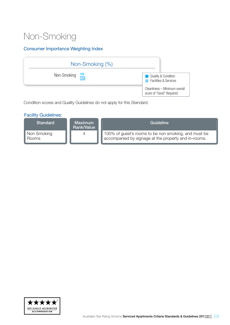### Non-Smoking

#### Consumer Importance Weighting Index



Condition scores and Quality Guidelines do not apply for this Standard.

| <b>Facility Guidelines:</b> |                              |                                                                                                              |
|-----------------------------|------------------------------|--------------------------------------------------------------------------------------------------------------|
| Standard                    | <b>Maximum</b><br>Rank/Value | Guideline                                                                                                    |
| Non Smoking<br>Rooms        | 4                            | 100% of guest's rooms to be non smoking, and must be<br>accompanied by signage at the property and in-rooms. |

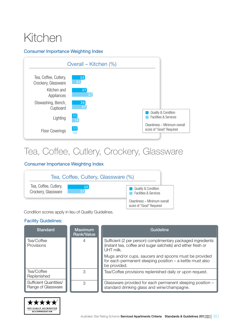## <span id="page-59-0"></span>Kitchen

#### Consumer Importance Weighting Index



### Tea, Coffee, Cutlery, Crockery, Glassware

#### Consumer Importance Weighting Index



Condition scores apply in lieu of Quality Guidelines.

| <b>Standard</b>                                     | <b>Maximum</b><br><b>Rank/Value</b> | Guideline                                                                                                                                         |
|-----------------------------------------------------|-------------------------------------|---------------------------------------------------------------------------------------------------------------------------------------------------|
| Tea/Coffee<br>Provisions                            | 4                                   | Sufficient (2 per person) complimentary packaged ingredients<br>(instant tea, coffee and sugar satchels) and either fresh or<br><b>I JHT milk</b> |
|                                                     |                                     | Mugs and/or cups, saucers and spoons must be provided<br>for each permanent sleeping position - a kettle must also<br>be provided.                |
| Tea/Coffee<br>Replenished                           | 3                                   | Tea/Coffee provisions replenished daily or upon request.                                                                                          |
| <b>Sufficient Quantities/</b><br>Range of Glassware | З                                   | Glassware provided for each permanent sleeping position -<br>standard drinking glass and wine/champagne.                                          |

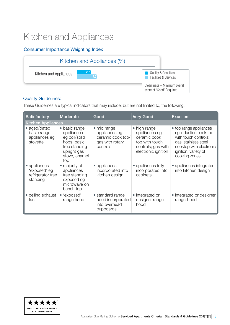### Kitchen and Appliances

#### Consumer Importance Weighting Index



#### Quality Guidelines:

These Guidelines are typical indicators that may include, but are not limited to, the following:

| <b>Satisfactory</b>                                           | Moderate                                                                                                            | Good                                                                             | <b>Very Good</b>                                                                                             | <b>Excellent</b>                                                                                                                                                    |  |  |  |
|---------------------------------------------------------------|---------------------------------------------------------------------------------------------------------------------|----------------------------------------------------------------------------------|--------------------------------------------------------------------------------------------------------------|---------------------------------------------------------------------------------------------------------------------------------------------------------------------|--|--|--|
|                                                               | <b>Kitchen Appliances</b>                                                                                           |                                                                                  |                                                                                                              |                                                                                                                                                                     |  |  |  |
| • aged/dated<br>basic range<br>appliances eg<br>stovette      | • basic range<br>appliances<br>eg coil/solid<br>hobs; basic<br>free standing<br>upright gas<br>stove, enamel<br>top | • mid range<br>appliances eg<br>ceramic cook top/<br>gas with rotary<br>controls | • high range<br>appliances eg<br>ceramic cook<br>top with touch<br>controls; gas with<br>electronic ignition | • top range appliances<br>eg induction cook top<br>with touch controls;<br>gas, stainless steel<br>cooktop with electronic<br>ignition, variety of<br>cooking zones |  |  |  |
| • appliances<br>'exposed' eg<br>refrigerator free<br>standing | • majority of<br>appliances<br>free standing<br>exposed eg<br>microwave on<br>bench top                             | • appliances<br>incorporated into<br>kitchen design                              | • appliances fully<br>incorporated into<br>cabinets                                                          | • appliances integrated<br>into kitchen design                                                                                                                      |  |  |  |
| • ceiling exhaust<br>fan                                      | • 'exposed'<br>range hood                                                                                           | • standard range<br>hood incorporated<br>into overhead<br>cupboards              | • integrated or<br>designer range<br>hood                                                                    | • integrated or designer<br>range-hood                                                                                                                              |  |  |  |

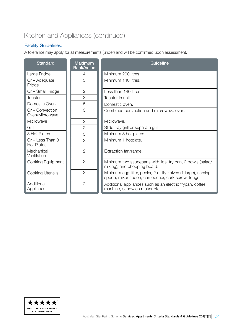### Kitchen and Appliances (continued)

#### Facility Guidelines:

A tolerance may apply for all measurements (under) and will be confirmed upon assessment.

| <b>Standard</b>                       | <b>Maximum</b><br><b>Rank/Value</b> | Guideline                                                                                                             |
|---------------------------------------|-------------------------------------|-----------------------------------------------------------------------------------------------------------------------|
| Large Fridge                          | $\overline{4}$                      | Minimum 200 litres.                                                                                                   |
| $Or - Adequate$<br>Fridge             | 3                                   | Minimum 140 litres.                                                                                                   |
| Or - Small Fridge                     | $\overline{2}$                      | Less than 140 litres.                                                                                                 |
| Toaster                               | 3                                   | Toaster in unit.                                                                                                      |
| Domestic Oven                         | 5                                   | Domestic oven.                                                                                                        |
| Or - Convection<br>Oven/Microwave     | 3                                   | Combined convection and microwave oven.                                                                               |
| Microwave                             | $\overline{2}$                      | Microwave.                                                                                                            |
| Grill                                 | $\overline{2}$                      | Slide tray grill or separate grill.                                                                                   |
| 3 Hot Plates                          | 3                                   | Minimum 3 hot plates.                                                                                                 |
| Or - Less Than 3<br><b>Hot Plates</b> | $\overline{2}$                      | Minimum 1 hotplate.                                                                                                   |
| Mechanical<br>Ventilation             | $\overline{2}$                      | Extraction fan/range.                                                                                                 |
| Cooking Equipment                     | 3                                   | Minimum two saucepans with lids, fry pan, 2 bowls (salad/<br>mixing), and chopping board.                             |
| <b>Cooking Utensils</b>               | 3                                   | Minimum egg lifter, peeler, 2 utility knives (1 large), serving<br>spoon, mixer spoon, can opener, cork screw, tongs. |
| Additional<br>Appliance               | $\overline{2}$                      | Additional appliances such as an electric frypan, coffee<br>machine, sandwich maker etc.                              |

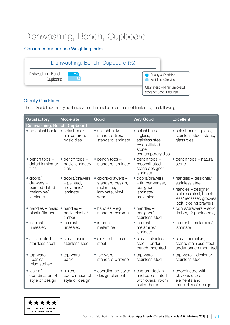### Dishwashing, Bench, Cupboard

#### Consumer Importance Weighting Index



#### Quality Guidelines:

These Guidelines are typical indicators that include, but are not limited to, the following:

| <b>Satisfactory</b>                                     | Moderate                                             | Good                                                              | <b>Very Good</b>                                                                              | <b>Excellent</b>                                                                                     |
|---------------------------------------------------------|------------------------------------------------------|-------------------------------------------------------------------|-----------------------------------------------------------------------------------------------|------------------------------------------------------------------------------------------------------|
| Dishwashing, Bench, Cupboard                            |                                                      |                                                                   |                                                                                               |                                                                                                      |
| • no splashback                                         | • splashbacks<br>limited area,<br>basic tiles        | $\bullet$ splashbacks $-$<br>standard tiles,<br>standard laminate | · splashback<br>- glass,<br>stainless steel,<br>reconstituted<br>stone,<br>contemporary tiles | $\bullet$ splashback – glass,<br>stainless steel, stone,<br>glass tiles                              |
| $\bullet$ bench tops $-$<br>dated laminate/<br>tiles    | $\bullet$ bench tops $-$<br>basic laminate/<br>tiles | $\bullet$ bench tops $-$<br>standard laminate                     | $\bullet$ bench tops $-$<br>reconstituted<br>stone designer<br>laminate                       | • bench tops - natural<br>stone                                                                      |
| $\bullet$ doors/<br>drawers-                            | • doors/drawers<br>- painted,                        | · doors/drawers -<br>standard design,                             | • doors/drawers<br>- timber veneer,                                                           | • handles - designer/<br>stainless steel                                                             |
| painted dated<br>melamine/<br>laminate                  | melamine/<br>laminate                                | melamine,<br>laminate, vinyl<br>wrap                              | designer<br>laminate/<br>melamine.                                                            | • handles - designer<br>stainless steel, handle-<br>less/recessed grooves,<br>'soft' closing drawers |
| • handles - basic<br>plastic/timber                     | $\bullet$ handles $-$<br>basic plastic/<br>timber    | $\bullet$ handles – eg<br>standard chrome                         | $\bullet$ handles $-$<br>designer/<br>stainless steel                                         | · doors/drawers - solid<br>timber, 2 pack epoxy                                                      |
| $\bullet$ internal $-$<br>unsealed                      | $\bullet$ internal $-$<br>unsealed                   | $\bullet$ internal $-$<br>melamine                                | $\bullet$ internal $-$<br>melamine/<br>laminate                                               | • internal – melamine/<br>laminate                                                                   |
| $\bullet$ sink $-dated$<br>stainless steel              | $\bullet$ sink – basic<br>stainless steel            | $\bullet$ sink – stainless<br>steel                               | $\bullet$ sink - stainless<br>steel - under<br>bench mounted                                  | $\bullet$ sink – porcelain,<br>stone, stainless steel -<br>under bench mounted                       |
| • tap ware<br>$-basic/$<br>mismatched                   | $\bullet$ tap ware $-$<br>basic                      | $\bullet$ tap ware $-$<br>standard chrome                         | $\bullet$ tap ware $-$<br>stainless steel                                                     | $\bullet$ tap ware $-$ designer<br>stainless steel                                                   |
| $\bullet$ lack of<br>coordination of<br>style or design | • limited<br>coordination of<br>style or design      | • coordinated style/<br>design elements                           | • custom design<br>and coordinated<br>with overall room<br>style/ theme                       | • coordinated with<br>obvious use of<br>elements and<br>principles of design                         |

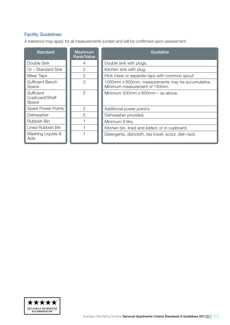#### Facility Guidelines:

A tolerance may apply for all measurements (under) and will be confirmed upon assessment.

| <b>Standard</b>                       | <b>Maximum</b><br><b>Rank/Value</b> | Guideline                                                                          |
|---------------------------------------|-------------------------------------|------------------------------------------------------------------------------------|
| Double Sink                           | 4                                   | Double sink with plugs.                                                            |
| Or - Standard Sink                    | 2                                   | Kitchen sink with plug.                                                            |
| <b>Mixer Taps</b>                     | $\overline{2}$                      | Flick mixer or separate taps with common spout.                                    |
| <b>Sufficient Bench</b><br>Space      | 3                                   | 1000mm x 600mm, measurements may be accumulative.<br>Minimum measurement of 150mm. |
| Sufficient<br>Cupboard/Shelf<br>Space | $\mathcal{P}$                       | Minimum 500mm x 600mm - as above.                                                  |
| <b>Spare Power Points</b>             | $\overline{2}$                      | Additional power point/s.                                                          |
| Dishwasher                            | 5                                   | Dishwasher provided.                                                               |
| Rubbish Bin                           |                                     | Minimum 8 litre.                                                                   |
| Lined Rubbish Bin                     |                                     | Kitchen bin, lined and lidded, or in cupboard.                                     |
| Washing Liquids &<br>Aids             |                                     | Detergents, dishcloth, tea towel, scour, dish-rack.                                |

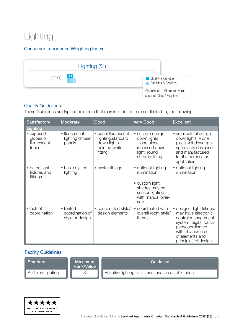### Lighting

#### Consumer Importance Weighting Index



#### Quality Guidelines:

These Guidelines are typical indicators that may include, but are not limited to, the following:

| <b>Satisfactory</b>                            | Moderate                                        | Good                                                                                   | <b>Very Good</b>                                                                                                       | <b>Excellent</b>                                                                                                                                                                   |
|------------------------------------------------|-------------------------------------------------|----------------------------------------------------------------------------------------|------------------------------------------------------------------------------------------------------------------------|------------------------------------------------------------------------------------------------------------------------------------------------------------------------------------|
| Lighting                                       |                                                 |                                                                                        |                                                                                                                        |                                                                                                                                                                                    |
| • exposed<br>globes or<br>fluorescent<br>tubes | • fluorescent<br>lighting diffuser<br>panels    | · panel fluorescent<br>lighting; standard<br>down lights -<br>painted white<br>fitting | • custom design<br>down lights<br>- one piece<br>recessed down<br>light, round<br>chrome fitting                       | • architectural design<br>down lights $-$ one<br>piece unit down light<br>specifically designed<br>and manufactured<br>for the purpose or<br>application                           |
| • dated light<br>fixtures and<br>fittings      | basic oyster<br>lighting                        | • oyster fittings                                                                      | • optional lighting<br>illumination<br>• custom light<br>shades may be<br>sensor lighting<br>with manual over-<br>ride | • optional lighting<br>illumination                                                                                                                                                |
| $\bullet$ lack of<br>coordination              | • limited<br>coordination of<br>style or design | • coordinated style/<br>design elements                                                | • coordinated with<br>overall room style/<br>theme                                                                     | · designer light fittings,<br>may have electronic<br>control management<br>system, digital touch<br>padscoordinated<br>with obvious use<br>of elements and<br>principles of design |

| Standard            | <b>Maximum</b><br>Rank/Value | Guideline                                              |
|---------------------|------------------------------|--------------------------------------------------------|
| Sufficient lighting |                              | Effective lighting to all functional areas of kitchen. |

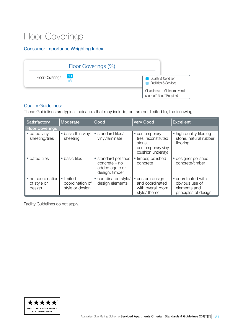### Floor Coverings

#### Consumer Importance Weighting Index

|                        | Floor Coverings (%) |                                                                    |
|------------------------|---------------------|--------------------------------------------------------------------|
| <b>Floor Coverings</b> | $\vert$ 1.1<br>n/a  | <b>Quality &amp; Condition</b><br><b>Facilities &amp; Services</b> |
|                        |                     | Cleanliness - Minimum overall<br>score of "Good" Required          |

#### Quality Guidelines:

These Guidelines are typical indicators that may include, but are not limited to, the following:

| <b>Satisfactory</b>                        | Moderate                                        | Good                                                                     | <b>Very Good</b>                                                                             | <b>Excellent</b>                                                             |
|--------------------------------------------|-------------------------------------------------|--------------------------------------------------------------------------|----------------------------------------------------------------------------------------------|------------------------------------------------------------------------------|
| <b>Floor Coverings</b>                     |                                                 |                                                                          |                                                                                              |                                                                              |
| • dated vinyl<br>sheeting/tiles            | • basic thin vinyl<br>sheeting                  | • standard tiles/<br>vinyl/laminate                                      | • contemporary<br>tiles, reconstituted<br>stone.<br>contemporary vinyl<br>(cushion underlay) | • high quality tiles eg<br>stone, natural rubber<br>flooring                 |
| • dated tiles                              | • basic tiles                                   | • standard polished<br>concrete – no<br>added agate or<br>design; timber | • timber, polished<br>concrete                                                               | • designer polished<br>concrete/timber                                       |
| • no coordination<br>of style or<br>design | • limited<br>coordination of<br>style or design | • coordinated style/<br>design elements                                  | • custom design<br>and coordinated<br>with overall room<br>style/ theme                      | • coordinated with<br>obvious use of<br>elements and<br>principles of design |

Facility Guidelines do not apply.

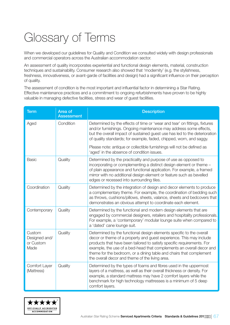## <span id="page-66-0"></span>Glossary of Terms

When we developed our guidelines for Quality and Condition we consulted widely with design professionals and commercial operators across the Australian accommodation sector.

An assessment of quality incorporates experiential and functional design elements, material, construction techniques and sustainability. Consumer research also showed that 'modernity' (e.g. the stylishness, freshness, innovativeness, or avant-garde of facilities and design) had a significant influence on their perception of quality.

The assessment of condition is the most important and influential factor in determining a Star Rating. Effective maintenance practices and a commitment to ongoing refurbishments have proven to be highly valuable in managing defective facilities, stress and wear of guest facilities.

| <b>Term</b>                                  | Area of<br><b>Assessment</b> | <b>Description</b>                                                                                                                                                                                                                                                                                                                                                                                                      |
|----------------------------------------------|------------------------------|-------------------------------------------------------------------------------------------------------------------------------------------------------------------------------------------------------------------------------------------------------------------------------------------------------------------------------------------------------------------------------------------------------------------------|
| Aged                                         | Condition                    | Determined by the effects of time or 'wear and tear' on fittings, fixtures<br>and/or furnishings. Ongoing maintenance may address some effects,<br>but the overall impact of sustained guest use has led to the deterioration<br>of quality standards; for example, faded, chipped, worn, and saggy.                                                                                                                    |
|                                              |                              | Please note: antique or collectible furnishings will not be defined as<br>'aged' in the absence of condition issues.                                                                                                                                                                                                                                                                                                    |
| <b>Basic</b>                                 | Quality                      | Determined by the practicality and purpose of use as opposed to<br>incorporating or complementing a distinct design element or theme -<br>of plain appearance and functional application. For example, a framed<br>mirror with no additional design element or feature such as bevelled<br>edges or recessed into surrounding tiles.                                                                                    |
| Coordination                                 | Quality                      | Determined by the integration of design and decor elements to produce<br>a complementary theme. For example, the coordination of bedding such<br>as throws, cushions/pillows, sheets, valance, sheets and bedcovers that<br>demonstrates an obvious attempt to coordinate each element.                                                                                                                                 |
| Contemporary                                 | Quality                      | Determined by the functional and modern design elements that are<br>engaged by commercial designers, retailers and hospitality professionals.<br>For example, a 'contemporary' modular lounge suite when compared to<br>a 'dated' cane lounge suit.                                                                                                                                                                     |
| Custom<br>Designed and/<br>or Custom<br>Made | Quality                      | Determined by the functional design elements specific to the overall<br>decor or theme of a property and guest experience. This may include<br>products that have been tailored to satisfy specific requirements. For<br>example, the use of a bed-head that complements an overall decor and<br>theme for the bedroom, or a dining table and chairs that complement<br>the overall decor and theme of the living area. |
| Comfort Layer<br>(Mattress)                  | Quality                      | Determined by the types of foams and fibres used in the uppermost<br>layers of a mattress, as well as their overall thickness or density. For<br>example, a standard mattress may have 2 comfort layers while the<br>benchmark for high technology mattresses is a minimum of 5 deep<br>comfort layers.                                                                                                                 |